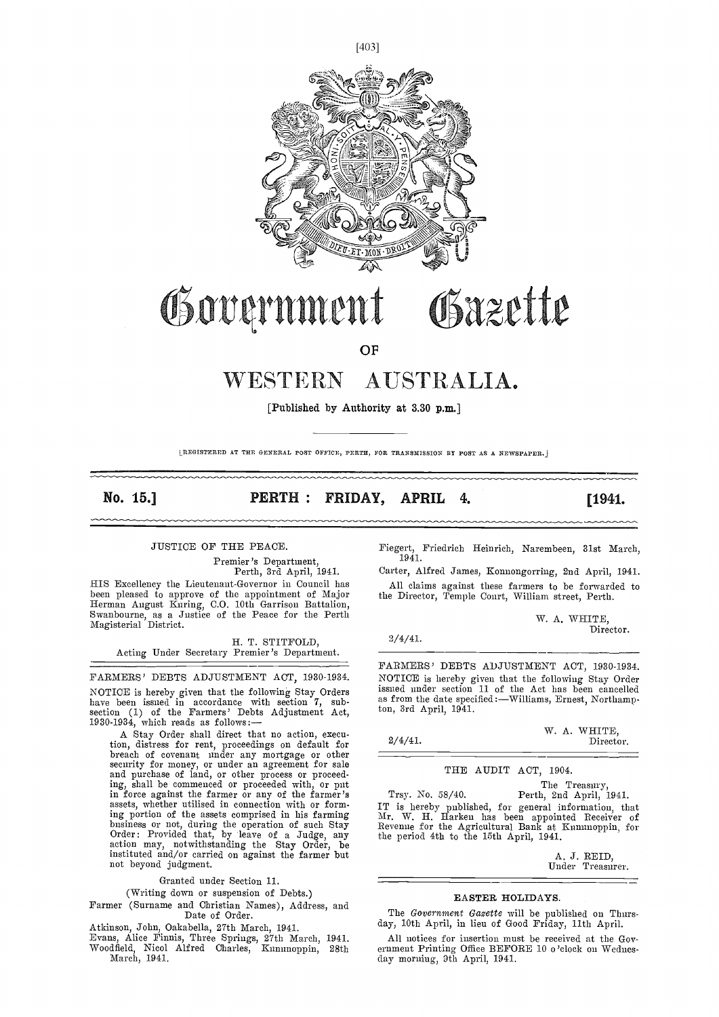

# Government Gazette

**OF** 

# WESTERN AUSTRALIA.

[Published by Authority at 3.30 p.m.]

LREGISTERED AT THE GENERAL POST OFFICE, PERTH, FOR TRANSMISSION BY POST AS A NEWSPAPER.j

2/4/41.

No. 15.]

PERTH: FRIDAY, APRIL 4.

[1941.

#### JUSTICE OF THE PEACE.

Premier's Department,<br>Perth, 3rd April, 1941.<br>HIS Excellency the Lieutenant-Governor in Council has IllS Excellency the Lieutenant-Governor in Council has been pleased to approve of the appointment of Major Herman August Kuring, 0.0. 10th Garrison Battalion, Swanbourne, as a Justice of tile Peace for the Perth Magisterial District.

H. T. STITFOLD, Acting Under Secretary Premier's Department.

FARMERS' DEBTS ADJUSTMENT ACT, 1930-1934. NOTICE is hereby given that the following Stay Orders and the have been issued in accordance with section 7, subsection (1) of the Farmers' Debts Adjustment Act, 1930-1934, which reads as follows: —

A Stay Order shall direct that no action, execution, distress for rent, proceedings on default for  $b^2$  breach of covenant under any mortgage or other security for money, or under an agreement for sale and purchase of land, or other process or proceeding, shail be commenced or proceeded with, or put in force against the farmer or any of the farmer's assets, whether utilised in connection with or formassets, whether utilised in connection with or forming portion of the assets comprised in his farming business or not, during the operation of such Stay Reven Order: Provided that, by leave of a Judge, any the pe action may, notwithstanding the Stay Order, be instituted and/or carried on against the farmer but not beyond judgment.

Granted under Section 11.

(Writing down or suspension of Debts.)

Farmer (Surname and Christian Names), Address, and Date of Order.

Atkinson, John, Oakabeila, 27th March, 1941.

- Evans, Alice Finnis, Three Springs, 27th March, 1941. Woodfield, Nicol Alfred Charles, Kununoppin, 28th
- March, 1941.

Fiegert, Friedrich Heinrich, Narembeen, 31st March, 1941.

Carter, Alfred James, Konnongorring, 2nd April, 1941. All claims against these farmers to be forwarded to the Director, Temple Court, William street, Perth.

> W. A. WHITE, Director.

FARMERS' DEBTS ADJUSTMENT ACT, 1930-1934. NOTICE is hereby given that the following Stay Order issued under section 11 of the Act has been cancelled as from the date specified :- Williams, Ernest, Northamp ton, 3rd April, 1941.

|            |  | W. A. WHITE, |
|------------|--|--------------|
| $2/4/41$ . |  | Director.    |

THE AUDIT ACT, 1904.

The Treasury, Trsy. No. 58/40. Perth, 2nd April, 1941. IT is hereby published, for general information, that Mr. W. H. ilarken has been appointed Receiver of Revenue for the Agricultural Bank at Kununoppin, for the period 4th to the 15th April, 1941.

A. J. REID,<br>Under Treasurer.

#### EASTER HOLIDAYS.

The Government Gazette will be published on Thurs-day, 10th April, in lieu of Good Friday, 11th April.

All notices for insertion must be received at the Government Printing Office BEFORE 10 o'clock on Wednesclay morning, 9th April, 1941.

 $[403]$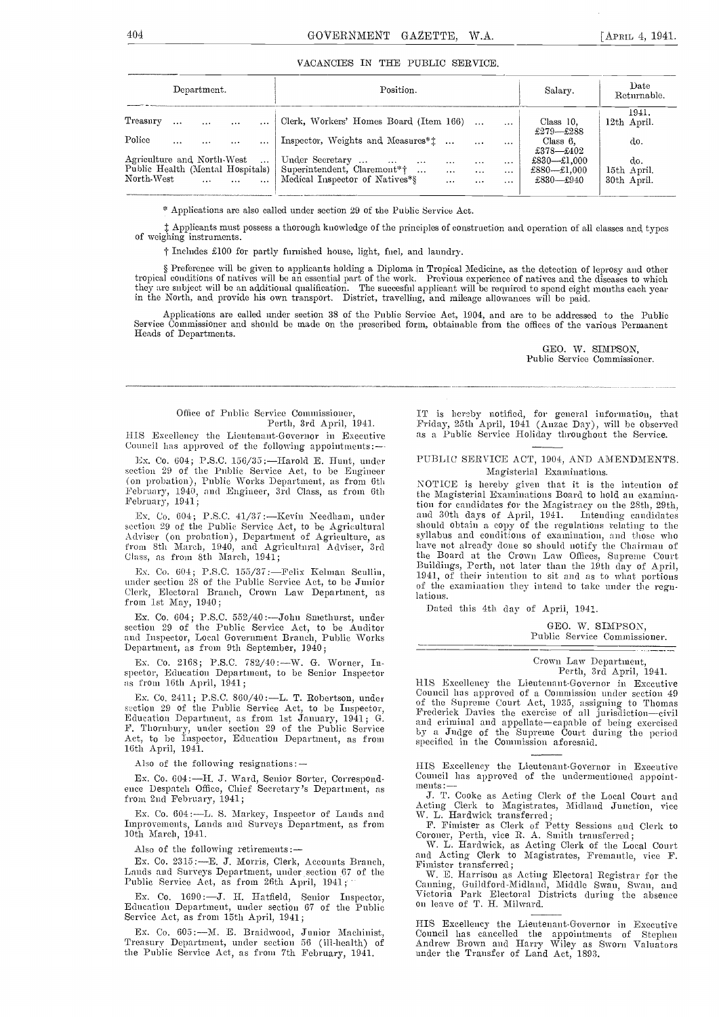#### VACANCIES IN THE PUBLIC SERVICE.

| Department.                                                                          | Position.                                                                                                                                                                                                                                               | Salary.                                 | Date<br>Returnable.               |
|--------------------------------------------------------------------------------------|---------------------------------------------------------------------------------------------------------------------------------------------------------------------------------------------------------------------------------------------------------|-----------------------------------------|-----------------------------------|
| Treasury<br>$\cdots$<br>$\cdots$<br>$\cdots$<br>$\cdots$                             | Clerk, Workers' Homes Board (Item 166)<br>$\cdots$                                                                                                                                                                                                      | Class $10$ .<br>£279—£288               | 1941.<br>12th April.              |
| Police<br>$\cdots$<br>$\cdots$<br>$\cdots$<br>$\cdots$<br>Agriculture and North-West | Inspector, Weights and Measures <sup>*</sup> 1<br>$\cdots$<br>Under Secretary                                                                                                                                                                           | Class $6$ .<br>$£378$ —£402             | do.                               |
| $\operatorname{North-West}$<br>$\sim$<br>$\cdots$<br>$\cdots$                        | $\sim$<br>$\cdots$<br>$\cdots$<br>$\cdots$<br>$\cdots$<br>$\cdots$<br>Public Health (Mental Hospitals)   Superintendent, Claremont <sup>*</sup> †<br>$\cdots$<br>$\cdots$<br><br>Medical Inspector of Natives*§<br>$\mathbf{1}$<br>$\cdots$<br>$\cdots$ | £830-£1,000<br>£880-£1,000<br>£830—£940 | do.<br>15th April.<br>30th April. |

\* Applications are also called under section 29 of the Public Service Act.

Applicants must possess a thorough knowledge of the principles of construction and operation of all classes and types of weighing instruments.

f Includes £100 for partly furnished house, light, fuel, and laundry.

§ Preference will be given to applicants holding a Diploma in Tropical Medicine, as the detection of leprosy and other<br>tropical conditions of natives will be an essential part of the work. Previous experience of natives an in the North, and provide his own transport. District, travelling, and mileage allowances will be paid.

Applications are called under section 38 of the Public Service Act, 1904, and are to be addressed to the Public Service Commissioner and should be made on the prescribed form, obtainable from the offices of the various Permanent Heads of Departments.

> GEO. IV. SIMPSON, Public Service Commissioner.

#### Office of Public Service Commissioner,

Perth, 3rd April, 1941.

illS Excellency the Lieutenant-Governor in Executive Council has approved of the following appointments:--

Ex. Co. 604; P.S.C. 156/35:—Harold E. Hunt, under section 29 of the Public Service Act, to be Engineer (on probation), Public Works Department, as from 6th February, 1940, and Engineer, 3rd Class, as from 6th February, 1941;

section 29 of the Public Service Act, to he Agricultural Adviser (on probation), Department of Agriculture, as from 8th March, 1940, and Agricultural Adviser, 3rd have<br>Class, as from 8th March, 1941; the

Ex. Co. 604; P.S.C. 155/37:-Felix Kelman Scullin, Clerk, Electoral Branch, Crown Law Department, as from 1st May, 1940;

Ex. Co. 604; P.S.C. 552/40 :--- John Smethurst, under section 29 of the Public Service Act, to be Auditor and Inspector, Local Government Branch, Public Works Department, as from 9th September, 1940;

Ex. Co. 2168; P.S.C. 782/40 :- W. G. Worner, Inspector, Education Department, to be Senior Inspector as from 16th April, 1941;

Ex. Co. 2411; P.S.C. 860/40 :---L. T. Robertson, under section 29 of the Public Service Act, to be Inspector, Education Department, as from 1st January, 1941; G.<br>F. Thornbury, under section 29 of the Public Service<br>Act, to be Inspector, Education Department, as from 16th April, 1941.

Also of the following resignations: --

Ex. Co. 604:—H. J. Ward, Senior Sorter, Correspond-<br>
ence Despatch Office, Chief Secretary's Department, as<br>  $\frac{\text{ments}}{\text{I}}$ . Cookies Asting Clear at the L. C. from 2nd February, 1941;

Ex. Co. 604 :- L. S. Markey, Inspector of Lands and Improvements, Lands and Surveys Department, as from 10th March, 1941.

Also of the following retirements:

Ex. Co. 2315 :- E. J. Morris, Clerk, Accounts Branch, Ex. Co. 2315: ---E. J. Morris, Clerk, Accounts Branch, Fimister transferred;<br>Lands and Surveys Department, under section 67 of the Public Service Act, as from 26th April, 1941;<br>Public Service Act, as from 26th April, 1941;

Ex. Co. 1690:—J. H. Hatfield, Senior Inspector, Victoria Park Electoral D<br>Education Department, under section 67 of the Public on leave of T. H. Milward.<br>Service Act, as from 15th April, 1941;

Ex. Co. 605 :-- M. E. Braidwood, Junior Machinist, Treasury Department, under section 56 (ill-health) of the Public Service Act, as fron 7th February, 1941.

IT is lierhy notified, for general information, that Friday, 25th April, 1941 (Anzac Day), will be observed as a Public Service Holiday throughout the Service.

#### PUBLIC SERVICE ACT, 1904, AND AMENDMENTS. Magisterial Examinations.

Ex. Co. 604; P.S.C. 41/37: Kevin Needham, under and 30th days of April, 1941. Intending candidates section 29 of the Public Service Act, to be Agricultural should obtain a copy of the regulations relating to the Ex. Co. 604; P.S.C. 155/37: - Fenx Kelman Sculin, 1941, of their intention to sit and as to what portions under the Public Service Act, to be Junior of the examination they intend to take under the regn-NOTICE is hereby given that it is the intention of the Magisterial Examinations Board to hold an examination for candidates for the Magistracy on the 28th, 29th, and 30th days of April, 1941. Intending candidates syllabus and conditions of examination, and those who have not already done so should notify the Chairman of the Board at the Crown Law Offices, Supreme Court Buildings, Perth, not later than the 19th day of April, lations.

Dated this 4th day of April, 1941.

GEO. W. SIMPSON, Public Service Commissioner.

Crown Law Department, Perth, 3rd April, 1941.

HIS Excellency the Lieutenant-Governor in Exceutive Council has approved of a Commission unter section 49<br>of the Supreme Court Act, 1935, assigning to Thomas<br>Frederick Davies the exercise of all jurisdiction—civil<br>and criminal and appellate—capable of being exercised<br>by a J specified in the Commission aforesaid.

HIS Excellency the Lieutenant-Governor in Executive

J. T. Cooke as Acting Clerk of the Local Court and Acting Clerk to Magistrates, Midland Junction, vice W. L. Hardwick transferred;

F. Fimister as Clerk of Petty Sessions and Clerk to Coroner, Perth, vice R. A. Smith transferred;

W. L. Hardwick, as Acting Clerk of the Local Court and Acting Clerk to Magistrates, Fremantle, vice F. Fimister transferred;

W. E. Harrison as Acting Electoral Registrar for the Canning, Guildford-Midland, Middle Swan, Swan, and Victoria Park Electoral Districts during the absence

HIS Excellency the Lieutenant-Governor in Exeeutive Council has cancelled the appointments of Stephen Andrew Brown and Harry Wiley as Sworn Valuators tinder time Transfer of Land Act, 1893.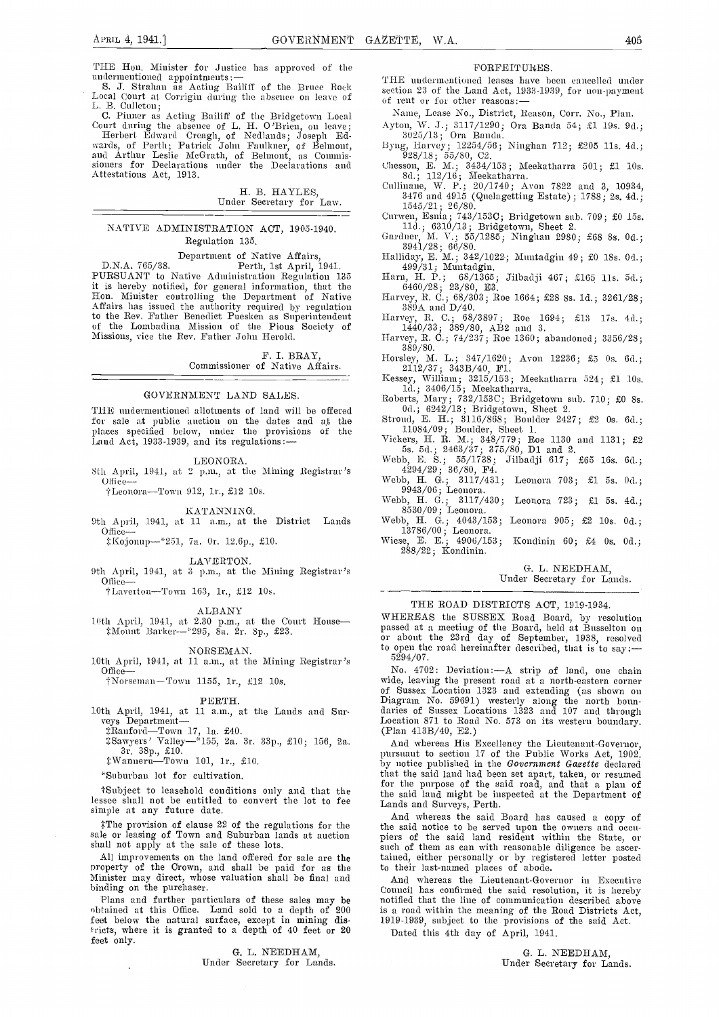THE Hon. Minister for Justice has approved of the undermentioned appointments: —

S. J. Strahan as Acting Bailiff of the Bruce Rock Local Court at Corrigin during the absence on leave of action 23 of the Land Act, 1<br>
L. B. Culleton;<br>
L. B. Culleton;

C. Pinner as Acting Bailiff of the Bridgetown Local Court during the absence of L. H. O'Brien, on leave; Herbert Edward Creagh, of Nedlands; Joseph Ed-

wards, of Perth; Patrick John Faulkner, of Belmont,<br>and Arthur Leslie McGrath, of Belmont, as Commissioners for Declarations under the Declarations and Attestations Act, 1913.

H. B. HAYLES, Under Secretary for Law.

#### NATIVE ADMINISTRATION ACT, 1905-1940. Regulation 135.

Department of Native Affairs,<br>D.N.A. 765/38. Perth, 1st April, 1941.<br>PURSUANT to Native Administration Regulation 135 it is hereby notified, for general information, that the<br>
Hon. Minister controlling the Department of Native<br>
Affairs has issued the authority required by regulation<br>
to the Rev. Father Benedict Puesken as Superintendent H of tile Lombadina Mission of the Pious Society of Missions, vice the Rev. Father John Herold.

> F. I. BRAY, Commissioner of Native Affairs.

TIlE undermentioned allotments of land, will be offered for sale at public auction on the dates and at the places specified below, under the provisions of the Land Act, 1933-1939, and its regulations:-

GOVERNMENT LAND SALES.

#### LEONORA.

 $\frac{\text{Sth} \quad \text{April}, \quad 1941, \quad \text{at} \quad 2 \quad \text{p.m., at the Mining Registerar's}}{\text{Office--}}$ 

†Leonora-Town 912, 1r., £12 10s.

#### KATANNING.

9th April, 1941, at 11 a.m., at the District Lands Oflice-

i:Kojonup-2.ai, 7a. Or. 12.Gp., £10.

LAVERTON.

9th April, 1941, at 3 p.m., at the Mining Registrar's Office-

†Laverton-Town 163, 1r., £12 10s.

ALBANY<br>10th April, 1941, at 2.30 p.m., at the Court House - W ::Mosiiit Ilat-ke,'--' 295, 8a. 2r. Sp., £23.

#### NORSEMAN.

†Norseman-Town 1155, 1r., £12 10s.

PERTH.<br>10th April, 1941, at 11 a.m., at the Lands and Sur-

3r. 38p., £10. : immediately stated to the system of the system of the system of the system of the system of the system of the system of the system of the system of the system of the system of the system of the system of t

"Suburban lot for cultivation.

fSubject to leasehold conditions only and that the lessee shall not be entitled to convert the lot to fee Lands and Surveys, Perth. simple at any future date.

sale or leasing of Town and Suburban lands at auction shall not apply at the sale of these lots.

binding on the purchaser.

Plans and further particulars of these sales may be obtained at this Office. Land sold to a depth of 200 is a r feet below the natural surface, except in mining dis-<br>tricts, where it is granted to a depth of 40 feet or 20  $_{\text{Det}}$ feet only.

G. L. NEEDHAM,<br>Under Secretary for Lands.

#### PORFEIT ORES.

THE undermentioned leases have been cancelled under section 23 of the Land Act, 1933-1939, for non-payment

Name, Lease No., District, Reason, Corr. No., Plan.

- Ayton, W. J.; 3117/1290; Ora Banda 54; £1 19s. 9d.; 3025/13; Ora Banda.
- Byng, Harvey; 12254/56; Ninghan 712; £205 11s. 4d.; 928/18; 55/80, C2.
- Chesson, E. M.; 3434/153; Meekatharra 501; £1 10s. 8d.; 112/16; Meekatharra.
- Cullinane, W. P.; 20/1740; Avon 7822 and 3, 10934, 3476 and 4915 (Quelagetting Estate); 1788; 2s. 4d.;<br>1545/21; 26/80.<br>Curwen, Esnia; 743/153C; Bridgetown sub. 709; £0 15s.
- Curwen, Esnia; 743/153C; Bridgetown sub. 709; £0 15s.<br>11d.; 6310/13; Bridgetown, Sheet 2.<br>Gardner, M. V.; 55/1285; Ninghan 2980; £68 8s. 0d.;<br>3941/28; 66/80.
- 
- 
- Halliday, E. M.; 342/1022; Muntadgin 49; £0 18s. 0d.;<br>499/31; Muntadgin.<br>Harn, H. P.; 68/1365; Jilbadji 467; £165 11s. 5d.;<br>6460/28; 23/80, E3.
- harvey, B. C.; 68/303; Roe 1664; £28 8s. ld.; 3261/28; 389A and D/40,
- Harvey, B. C.; 68/3897; Roe 1694; £13 17s. 4d.; 1440/33; 389/80, AB2 and 3.
- Harvey, B. C.; 74/237; Roe 1360; abandoned; 3356/28; 389/80.
- Tlorsley, M. L.; 347/1620; Avon 12236; £5 Os. 6d.; 2112/37; 343B/4O, El.
- Kessey, William; 3215/153; Meekatharra 524; £1 lOs. ld.; 3406/15; Meekathas-ra.
- 
- Roberts, Mary; 732/153C; Bridgetown sub. 710; £0 8s.<br>
0d.; 6242/13; Bridgetown, Sheet 2.<br>
Stroud, E. H.; 3116/868; Boulder 2427; £2 0s. 6d.;<br>
11084/09; Boulder, Sheet 1.<br>
Vickers, H. R. M.; 348/779; Roe 1130 and 1131; £2
- 5s. Sd.; 2463/37; 375/80, Dl and 2. Webb, E. S.; 55/1738; Jilbadji 617; £65 16s. Gd.;
- $4294/29$ ;  $36/80$ , F4.
- Webb, H. U.; 3117/431; Leonora 703; £1 5s. Od.; 9943/06; Leonora. Webb, H. 0.; 3117/430; Leonora 723; £1 5s. 4d.;
- Webb, H. G.; 3117/430; Leonora 723; £1 5s. 4d.;<br>8530/09; Leonora....
- Webb, H. G.; 4043/153; Leonora 905; £2 10s. 0d.; 13786/00; Leonora. Wiese, E. E.; 4906/153; Kondinin GO; £4 Os. Od.;
- $288/22$ ; Kondinin.

G. L. NEEDHAM,

#### Under Secretary for Lands.

### THE ROAD DISTRICTS ACT, 1919-1934.

WHEREAS the SUSSEX Road Board, by resolution passed at a meeting of the Board, held at Busselton on or about the 23rd day of September, 1938, resolved to open the road hereinafter described, that is to say:  $-$ 5294/07.

10th April, 1941, at 11 a.m., at the Mining Registrar's 5294/07.<br>
Office-<br>
†Norseman-Town 1155, 1r., £12 10s. wide, leaving the present road at a north-eastern corner 10th April, 1941, April, 1942, April, 2013, April, 2013, April, 2013, April, 2013, April, 2013, 2014<br>
10th April, 1940, Band Whereas Ais Excellency the Lieutenant-Governor.<br>
1957 Sa. 3r. 33p., £10; 156, 2a. 3a. 3a. 3a. 3. No. 4702: Deviation: -- A strip of land, one chain<br>wide, leaving the present road at a north-eastern corner<br>of Sussex Location 1323 and extending (as shown on<br>Diagram No. 59691) westerly along the north boun-<br>daries of Sus

And whereas His Excellency the Lieutenant-Governor, pursuant to section 17 of the Public Works Act, 1902, by notice published in the Government Gazette declared that the said land had been set apart, taken, or resumed<br>for the purpose of the said road, and that a plan of the said land might be inspected at the Department of

The provision of clause 22 of the regulations for the the said notice to be served upon the owners and occu-All improvements on the land offered for sale are the property of the Crown, and shall be paid for as the property of the Crown, and shall be paid for as the Minister may direct, whose valuation shall be final and And wher And whereas the said Board has caused a copy of piers of the said land resident within the State, or tained, either personally or by registered letter posted to their last-named places of abode.

And whereas the Lieutenant-Governor in Executive Council has confirmed the said resolution, it is hereby<br>notified that the line of communication described above is a road within the meaning of the Road Districts Act, 1919-1939, subject to the provisions of the said Act.

Dated this 4th day of April, 1941.

G. L. NEEDHAM, Under Secretary for Lands.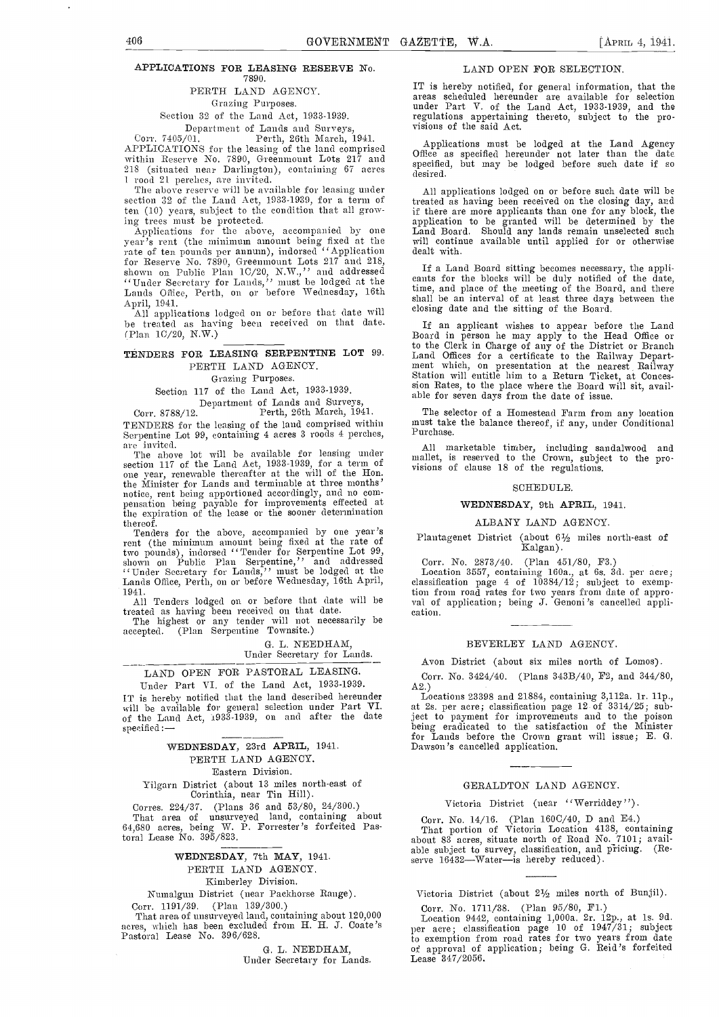#### APPLICATIONS FOR LEASING RESERVE No. 7890.

#### PERTH LAND AGENCY.

#### Crazing Purposes.

## Section 32. of the Land Act, 1933-1939.

Department of Lands and Surveys,<br>Corr. 7405/01. Perth, 26th March, 1941.<br>APPLICATIONS for the leasing of the land comprised APPLICATIONS FOR THE LAND COMPRISED WITHIN Reserve No. 7890, Greenmount Lots 217 and 218 (situated near Darlington), containing 67 acres 1 rood 21 perches, are invited.

 $\frac{1 \text{ rood } 21 \text{ perches, are invited.}}{1 \text{ The above reserve will be available for leaving under section } 32 \text{ of the Land Act, } 1933-1939, \text{ for a term of } \frac{1}{100}$ ten (10) years, subject to the condition that all grow-

ing trees must be protected. Applications for the above, accompanied by one Land<br>
year's rent (the minimum amount being fixed at the will rate of ten pounds per annum), indorsed ''Application for Reserve No. 7890, Greenmount Lots 217 and 218,<br>shown on Public Plan 1C/20, N.W.,'' and addressed and contra "Under Secretary for Lands," must be lodged at the cants<br>Lands Office, Perth, on or before Wednesday, 16th time,

April, 1941. All applications lodged on or before that date will be treated as having been received on that date. (Plan 1C/20, NW.)

#### TENDERS FOR LEASING SERPENTINE LOT 99. PERTH LAND AGENCY.

#### Grazing Purposes.

Section 117 of the Laud Act, 1933-1939.

Department of Lands and Surveys, Corr. 8788/12. Perth, 26th March, 1941. TENDERS for the leasing of the land comprised within Serpentine Lot 99, containing 4 acres 3 roods 4 perches,

are invited.<br>The above lot will be available for leasing under<br>section 117 of the Land Act, 1933-1939, for a term of<br>one year, renewable thereafter at the will of the Hon.<br>the Minister for Lands and terminable at three mon notice, rent being apportioned accordingly, and no com- pensation being payable for improvements effected at the expiration of the lease or the sooner determination

thereof. Tenders for the above, accompanied by one year's rent (the minimum amount being fixed at the rate of two pounds), iudorsed ''Tender for Serpentine Lot 99, shown on Public Plan Serpentine,'' and addressed Co<br>"Under Secretary for Lands,'' must be lodged at the Lc<br>Lands Office, Perth, on or before Wednesday, 16th April, class

treated as having been received on that date. The highest or any tender will not necessarily be

accepted. (Plan Serpentine Townsite.)

G. L. NEEDHAM, Under Secretary for Lands.

## LAND OPEN FOR PASTORAL LEASING.

Under Part VI. of the Land Act, 1933-1939.<br>IT is hereby notified that the land described hereunder IT is hereby notified that the land described hereunder Locations 23398 and 21884, containing 3,112a. 1r. 11p., will be available for general selection under Part VI. at 2s. per acre; classification page 12 of 3314/25; sub specified:

#### WEDNESDAY, 23rd APRIL, 1941. PERTH LAND AGENCY. Eastern Division.

Yilgarn District (about 13 miles north-east of Corinthia, near Tin Hill).

Corres. 224/37. (Plans 36 and 53/80, 24/300.) That area of unsurveyed land, containing about 64,680 acres, being W. P. Forrester's forfeited Pastoral Lease No. 395/823.

#### WEDNESDAY, 7th MAY, 1941.

### PERTH LAND AGENCY.

Kiniberley Division.

Numalgun District (near Packhorse Range).

#### Corr. 1191/39. (Plan 139/300.)

That area of unsurveyed land, containing about 120,000 acres, which has been excluded from H. H. J. Coate 's Pastoral Lease No. 396/628.

> G. L. NEEDHAM, Under Secretary for Lands.

#### LAND OPEN FOR SELECTION.

IT is hereby notified, for general information, that the areas scheduled hereunder are available for selection under Part V. of the Land Act, 1933-1939, and the regulations appertaiaing thereto, subject to the pro- visions of the said Act.

Applications must be lodged at the Land Agency Office as specified hereunder not later than the date specified, but may be lodged before such date if so desired.

All applications lodged on or before such date will be treated as having been received on the closing day, and if there are more applicants than one for any block, the application to be granted will be determined by the Land Board. Should any lands remain unselected such will continue available until applied for or otherwise dealt

If a Land Board sitting becomes necessary, the applicants for the blocks will be duly notified of the date, time, and place of the meeting of the Board, and there shall be an interval of at least three days between the closing date and the sitting of the Board.

If an applicant wishes to appear before the Land Board in person he may apply to the Head Office or to the Clerk in Charge of any of the District or Branch<br>Land Offices for a certificate to the Railway Depart-<br>ment which, on presentation at the nearest Railway<br>Station will entitle him to a Return Ticket, at Conces-<br>sion

The selector of a Homestead Farm from any location must take the balance thereof, if any, under Conditional

All marketable timber, including sandalwood and mallet, is reserved to the Crown, subject to the pro-<br>visions of clause 18 of the regulations.

#### SCHEDULE.

#### WEDNESDAY, 9th APRIL, 1941.

#### ALBANY LAND AGENCY.

Plantagenet District (about 6½ miles north-east of Kalgan).

Lands Office, Perth, on or before Wednesday, 16th April, classification page 4 of 10384/12; subject to exemp-<br>1941.<br>All Tenders lodged on or before that date will be val of application; being J. Genoni's cancelled appli-<br>1 Corr. No. 2873/40. (Plan 451/80, F3.)<br>Location 3557, containing 160a., at 6s. 3d. per acre; tion from road rates for two years from date of appro-<br>val of application; being J. Genoni's cancelled appli-<br>cation.

#### BEVERLEY LAND AGENCY.

Avon District (about six miles north of Lomos).

Corr. No. 3424/40. (Plans 343B/40, P2, and 344/80, A2.)

Locations 23398 and 21884, containing 3,112a. ir. lip., at 2s. per acre; classification page 12 of 3314/25; subject to payment for improvements and to the poison being eradicated to the satisfaction of the Minister for Lands before the Crown grant will issue; E. G. Dawson 's cancelled application.

#### GERALDTON LAND AGENCY.

#### Victoria District (near ''Werriddey'').

Corr. No. 14/16. (Plan 160C/40, D and E4.)<br>That portion of Victoria Location 4138, containing about 83 acres, situate north of Road No. 7101; available subject to survey, classification, and pricing. (Reserve 16432—Water-is hereby reduced).

Victoria District (about 2½ miles north of Bunjil).

Corr. No. 1711/38. (Plan 95/80, Fl.) Location 9442, containing 1,000a. 2r. l2p., at is. 9d. per acre; classification page 10 of 1947/31; subject to exemption from road rates for two years from date of approval of application; being G. Reid's forfeited Lease 347/2056.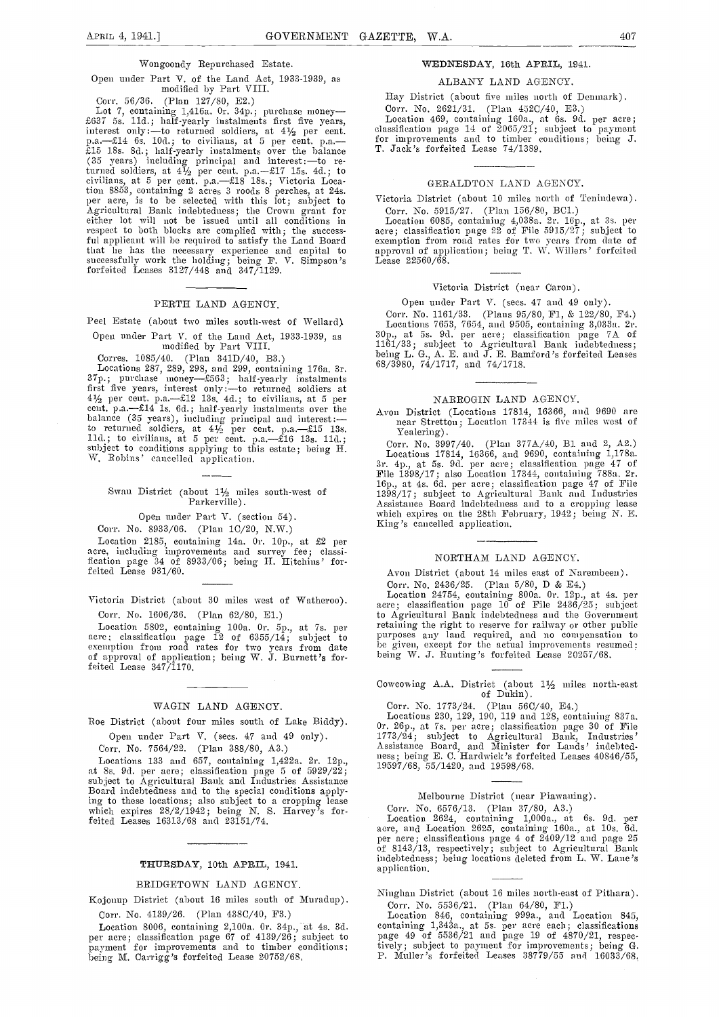#### Wongoondy Bepurchased Estate.

# Open under Part V. of the Land Act, 1933-1930, as modified by Part VIII.

Lot 7, containing 1,416a. 0r. 34p.; purchase money-<br>
Lot 7, containing 1,416a. 0r. 34p.; purchase money-<br>  $\frac{1}{2637}$  5s. 11d.; half-yearly instalments first five years, Location 469, containing 160a., interest only:--to (35 years) including principal and interest: - to returned soldiers, at  $4\frac{1}{2}$  per cent. p.a. -£17 15s. 4d.; to civilians, at 5 per cent. p.a.-518 18s.; Victoria Location 8853, containing 2 acres 3 roods 8 perches, at 24s.<br>per acre, is to be selected with this lot; subject to Victo<br>Agricultural Bank indebtedness; the Crown grant for Cor<br>either lot will not be issued until all condition respect to both blocks are complied with; the successful applicant will be required to satisfy the Land Board exem<br>that he has the necessary experience and capital to appre successfully work the holding; being F. V. Simpson's forfeited Leases 3127/448 and 347/1129.

#### PERTH LAND AGENCY.

Peel Estate (about two miles south-west of Wellard).

Open under Part V. of the Land Act, 1933-1939, as modified by Part VIII.

Corres. 1085/40. (Plan 341D/40, B3.)

Locations 287, 289, 298, and 299, containing 176a. 3r.  $^{98}$ <br>37p.; purchase money—£563; half-yearly instalments first five years, interest only :—to returned soldiers at  $4\frac{1}{2}$  per cent. p.a.—£12 13s. 4d.; to civilians, at 5 per cent. p.a.—£14 1s. 6d.; half-yearly instalments over the balance (35 years), including principal and to returned soldiers, at  $4\frac{1}{2}$  per cent. p.a.— $\pounds15$  13s. 11d.; to civilians, at 5 per cent. p.a.— $\pounds16$  13s. 11d.; subject to conditions applying to this estate; being H. W. Robins' cancelled application.

#### Swan District (about  $1\frac{1}{2}$  miles south-west of Parkerville).

Open nuder Part V. (section 54).

Corn. No. 8933/06. (Plan 1C/20, N.W.)

Location 2185, containing 14a. Or. lop., at £2 per acre, including improvements and survey fee; classi-fication page 34 of 8933/06; being H. Hitchins' for-feited Lease 931/GO.

Victoria District (about 30 miles west of Watheroo). Corr. No. 1606/36. (Plan 62/80, El.)

Location 5802, containing iOOa. Or. Sp., at 7s. pci' acre; classification page  $\tilde{12}$  of 6355/14; subject to  $10^{\text{up}}$ exemption from road rates for two years from date be got approval of application; being W. J. Burnett's for- $\text{feite}$  Lease  $347/1170$ .

#### WAGIN LAND AGENCY.

Roe District (about four miles south of Lake Biddy).

Open under Part V. (sees. 47 and 49 only).

Corr. No. 7564/22. (Plan 383/80, A3.)

Locations 133 and 657, containing 1,422a. 2r. 12p., at 8s. 9d. per acre; classification page 5 of 5929/22; subject to Agricultural Bank and Industries Assistance Board indebtedness and to the special conditions applying to these locations; also subject to a cropping lease winch expires 28/2/1942; being N. S. Harvey's fom-- feited Leases 16313/68 and 23151/74.

#### THURSDAY, 10th APRIL, 1941.

#### BRIDGETOWN LAND AGENCY.

Kojonup District (about 16 miles south of Muradup) -

Corr. No. 4139/26. (Plan 438C/40, F3.)<br>Location 8006, containing 2,100a. 0r. 34p., at 4s. 3d. Location 8006, containing 2,100a. Or. Pip., at 4s. Pipe. At 4s. per acre; classification page 67 of 4139/26; subject to page 49 of 5536/21 and page 19 of 4870/21, respec-<br>payment for improvements and to timber conditions;

#### WEDNESDAY, 16th APRIL, 1941.

#### ALBANY LAND AGENCY.

Hay District (about five miles north of Denmark).

Corr. No. 2621/31. (Plan 452C/40, E3.)<br>Location 469, containing 160a, at 6s. 9d. per acre;<br>classification page 14 of 2065/21; subject to payment<br>for improvements and to timber conditions; being J.

#### GERALDTON LAND AGENCY.

Victoria District (about 10 miles north of Tenindewa). Corr. No. 5915/27. (Plan 156/SO, BC1.)

Location 6085, containing 4,038a. 2r. 16p., at 3s. per acre; classification page 22 of File 5915/27; subject to exemption from road rates for two years from date of<br>approval of application; being T. W. Willers' forfeited<br>Lease 22560/68.

#### Victoria District (near Caron).

Open under Part V. (sees. 47 and 49 only).

Corr. No. 1161/33. (Plans 95/80, F1, & 122/80, F4.)<br>Locations 7653, 7654, and 9505, containing 3,033a. 2r. november 1990, at 5. 9d. per acre ; classification page 7A of 1161/33; subject to Agricultural Bank indebtedness; being L. G., A. E. and J. E. Bamford's forfeited Leases 68/3980, 74/1717, and 74/1718.

NARROGIN LAND AGENCY.<br>Avon District (Locations 17814, 16366, and 9690 are near Stretton; Location 17344 is five miles west of  $Yealering)$ 

Corr. No. 3997/40. (Plan 377A/40, B1 and 2, A2.) Locations 17814, 16366, and 9690, containing 1,178a.<br>3r. 4p., at 5s. 9d. per acre; classification page 47 of<br>File 1398/17; also Location 17344, containing 788a. 2r.<br>16p., at 4s. 6d. per acre; classification page 47 of File

#### NORTHAM LAND AGENCY.

Avon District (about 14 miles east of Narembeen).

Corr. No. 2436/25. (Plan 5/80, D & E4.)<br>Location 24754, containing 800a. Or. 12p., at 4s. per acre; classification page  $10^{\circ}$  of File 2436/25; subject retaining the right to reserve for railway or other public purposes any land required, and no compensation to be given, except for the actual improvements resumed; being W. J. Runting's forfeited Lease 20257/68.

Cowcowing A.A. District (about  $1\frac{1}{2}$  miles north-east of Dukin).

## Corr. No. 1773/24. (Plan 56C/40, E4.)

Locations 230, 129, 190, 119 and 128, containing 837a.<br>Or. 26p., at 7s. per-acre; classification page 30 of File<br>1773/24; subject to Agricultural Bank, Industries' Assistance Board, and Minister for Lands' indebtedness; being E. C. Hardwick's forfeited Leases 40846/55,<br>19597/68, 55/1420, and 19598/68.

## Melbourne District (near Piawaning).

Corr. No.  $6576/13$ . (Plan  $37/80$ , A3.)<br>Location 2624, containing 1,000a., at 6s. 9d. per<br>acre, and Location 2625, containing 160a., at 10s. 6d.<br>per acre; classifications page 4 of 2409/12 and page 25<br>of 8143/13, respect indebtedness; being locations deleted from L. W. Lane's application.

Ninghan District (about 16 miles north-east of Pithara).

Corr. No. 5536/21. (Plan 64/80, F1.)<br>Location 846, containing 999a., and Location 845,<br>containing 1,343a., at 5s. per acre each; classifications<br>page 49 of 5536/21 and page 19 of 4870/21, respectively; subject to payment for improvements; being G.<br>P. Muller's forfeited Leases 38779/55 and 16033/68.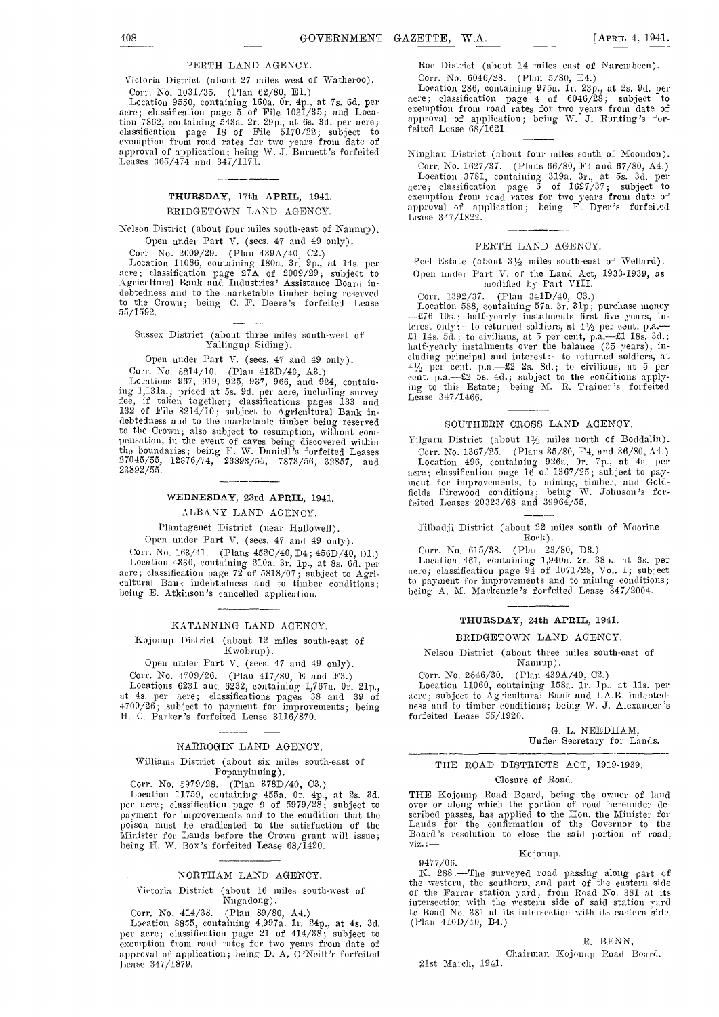#### PERTH LAND AGENCY.

Victoria District (about 27 miles west of Watheroo). Corr. No. 1031/35. (Plan 62/80, El.)

Location 9550, containing 160a. Or. 4p., at 7s. 6d. per acre; classification page 5 of File 1031/35; and Loca. tion 7862, containing 543a. 2r. 29p., at 6s. 3d. per acre; classification page 18 of File 5170/22; subject to exemption from road rates for two years from date of<br>approval of application; being W. J. Burnett's forfeited — Ning<br>Leases 365/474 and 347/1171.

#### THURSDAY, 17th APRIL, 1941. BRIDGETOWN LAND AGENCY.

Nelson District (about four miles south-east of Nannup). Open under Part V. (sees. 47 and 49 only).

Corr. No. 2009/29. (Plan 439A/40, 02.) Location 11086, containing 180a. 3r. 9p., at 14s. per acre; classification page 27A of 2009/29; subject to Oper<br>Agricultural Bank and Industries' Assistance Board in-<br>debtedness and to the marketable timber being reserved Cor to the Crown; being C. F. Deere's forfeited Lease 55/1592.

## Sussex District (about three miles south-west of Yallingup Siding).

Open under Part V. (sees. 47 and 49 only). Corr. No. 8214/10. (Plan 413D/40, A3.)

Locations 967, 919, 925, 937, 966, and 924, containing 1,1 31a.; priced at 5s. 9d. per acre, including survey fee, if taken together; classifications pages 133 and 132 of File 8214/10; subject to Agricultural Bank in- debtedness and to the marketable timber being reserved to the Crown; also subject to resumption, without com $p$ ensation, in the event of caves being discovered within  $Y$ ilg tile boundaries; being F. W. Daniel! 's forfeited Leases 27045/55, 12876/74, 23893/55, 7873/56, 32857, and 23892/55.

#### WEDNESDAY, 23rd APRIL, 1941.

ALBANY LAND AGENCY.

#### Plantagenet District (near Hallowell).

Open under Part V. (secs. 47 and 49 only). Corr. No. l63/41. (Plans 4520/40, D4; 456D/40, Dl.) Location 4330, containing 210a. 3m. 1p., at 8s. 6d. per acre; classification page 72 of 5818/07; subject to Agricultural Bank indebtedness and to timber conditions; being E. Atkinson's cancelled application.

#### KATANNING LAND AGENCY.

#### Kojonup District (about 12 miles south-east of Kwobrup).

Open under Part V. (secs. 47 and 49 only).<br>Corr. No. 4709/26. (Plan 417/80, E and F3.)

Corr. No. 4709/26. (Plan 417/80, E and P3.) Locations 6231 and 6232, containing l,767a. Or. 2lp., at 4s. per acre; classifications pages 38 and 39 of 4700/26; subjcct to payment for improvements; being H. C. Parker's forfeited Lease 3116/870.

#### NARROGIN LAND AGENCY.

## Williams District (about six miles south-east of Popanyinning).<br>Corr. No. 5979/28. (Plan 378D/40, C3.)

Location 11759, containing 455a. Or. 4p., at 2s. 3d. per acre; classification page 9 of 5979/28; subject to payment for improvements and to the condition that the poison must be eradicated to the satisfaction of the Minister for Lands before the Crown grant will issue; Board being H. W. Box's forfeited Lease 68/1420.

#### NORTHAM LAND AGENCY.

#### Victoria District (about 16 miles south-west of Nugadong).

Corr. No. 414/38. (Plan 89/80, A4.) Location 8855, containing 4,997a. ic. 24p., at 4s. 3d. per acre; classification page 21 of  $414/38$ ; subject to exemption from road rates for two years from date of<br>approval of application; being D. A, O'Neill's forfeited approval of application; being D. A, O'Neill's forfeited<br>Lease 347/1879,

Roe District (about 14 miles east of Narembeen). Corr, No. 6046/28. (Plan 5/80, E4.)

Location 286, containing 975a. ir. 231)., at 2s. 96. per acre; classification page 4 of 6046/28; subject to exemption from road rates for two years from date of application; being W. J. Bunting's forfeited Lease 68/1621.

Ninghan District (about four miles south of Moondon).

Corr. No. 1627/37. (Plans 66/80, F4 and 67/80, A4.)<br>Location 3781, containing 319a. 3r., at 5s. 3d. per acre; classification page <sup>6</sup> of 1627/37; subject to exemption from road rates for two years from date of<br>approval of application; being F. Dyer's forfeited Lease 347/1S22.

#### PERTH LAND AGENCY.

Peel Estate (about  $3\frac{1}{2}$  miles south-east of Wellard). Open under Part V. of the Land Act, 1933-1939, as modified by Part VIII.

Corr. 1392/37. (Plan 341D/40, C3.)

Location 588, containing 57a. 3r. 31p; purchase money --£76 10s.; half-yearly instalments first five years, interest only :—to returned soldiers, at 41/2 per cent. p.a.— £1 14s. 5d. ; to civilians, at 5 per cent, p.a.—£1 18s. 3d. ;<br>half-yearly instalments over the balance (35 years), in-<br>cluding principal and interest :—to returned soldiers, at  $4\frac{1}{2}$  per cent. p.a.- $\pounds 2$  2s. 8d.; to civilians, at 5 per cent. p.a.- $\pounds 2$  5s. 4d.; subject to the conditions applying to this Estate; being M. R. Trainer's forfeited Lease 347/1466.

#### SOUTHERN CROSS LAND AGENCY.

Yilgarn District (about 11/2 miles north of Boddalin).

Con-. No. 1367/25. (Plans 35/80, P4, and 36/80, A4.) Location 496, containing 926a. Or. 7p, at 4s. per acre; classification page 16 of 1367/25; subject to pay ment for improvements, to mining, timber, and Gold-<br>fields Firewood conditions; being W. Johnson's forfeited Leases 20323/68 and 39964/55.

#### Jilbadji District (about 22 miles south of Moorine Rock). Rock).

Corr. No. 615/38. (Plan 23/80, D3.)

Location 461, containing 1,94Oa. 2r. 3Sp., at 3s. per acre; classification page 94 of 1071/28, Vol. 1; subject to payment for improvements and to mining conditions; being A. M. Mackenzie's forfeited Lease 347/2004.

#### THURSDAY, 24th APRIL, 1941.

#### BRIDGETOWN LAND AGENCY.

## Nelson District (about three miles south-cast of

# Nainup).<br>Corr. No. 2646/30. (Plan 439A/40, C2.)

Corr. No. 2646/30. (Plan 439A/40, C2.)<br>Location 11060, containing 158a. 1r. 1p., at 11s. per acre; subject to Agricultural Bank and I.A.B. indebtedhess amid to timber conditions; being IV. J. Alexander's forfeited Lease 55/1920.

> G. L. NEEDHAM, Under Secretary for Lands.

#### THE ROAD DISTRICTS ACT, 1919-1939.

#### Closure of Road.

THE Kojonup Road Board, being the Owner of lamid over or along which the portion of road hereunder de-<br>scribed passes, has applied to the Hon. the Minister for Lands for the confirmation of the Governor to the Board's resolution to close the said portion of road,

Kojonup.

#### 947 7/0 6.

K. 288 :-The surveyed road passing along part of the western, the southern, and part of the eastern side of the Farrar station yard; from Road No. 381 at its intersection with the western side of said station yard to Road No. 381 at its intersection with its eastern side. (Plami 416D/4O, B4.)

#### B. BENN,

Chairman Kojonup Road Board. 21st March, 1941.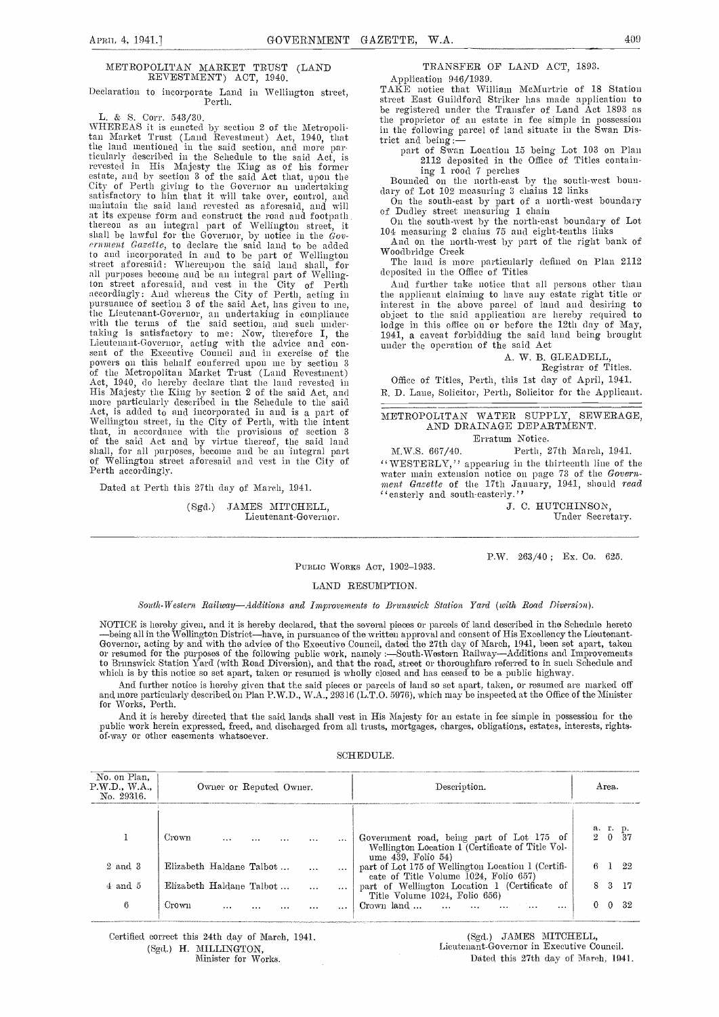#### METROPOLITAN MARKET TRUST (LAND REVESTMENT) ACT, 1940.

# Declaration to incorporate Land in Wellington street, Perth.

L. & S. Corr. 543/30.

\VFIEREAS it is enacted by section 2 of the Metropolitan Market Trust (Land Revestment) Act, 1940, that the land mentioned in the said section, and more particularly described in the Schedule to the said Act, is<br>revested in His Majesty the King as of his former<br>estate, and by section 3 of the said Act that, upon the Bo<br>City City of Perth giving to the Governor an undertaking<br>satisfactory to him that it will take over, control, and<br> $\frac{1}{2}$  dary of Lot 102 measuring 3 chains 12 links inaitani the said land revested as aforesaid, and will at its expense form and construct the road and footpath thereon as an integral part of Wrellington street, it shall be lawful for the Governor, by notice in the  $\acute{G}ov$ -<br>  $\frac{104}{\text{M}}$  and  $\frac{1}{2}$ to and incorporated in and to be part of Wellington  $\mathsf{W}_{\mathsf{m}}$ street aforesaid: Whereupon the said land shall, for all purposes become and be an integral part of Wellington street aforesaid, and vest in the City of Perth Anaccordingly: And whereas the City of Perth, acting in the pursuant-Governor, an undertaking in compliance of the said application are hereby required to with the terms of the said section, and such under-<br>iodge in this office on or before the 12th day of May, taking is satisfactory to me: Now, therefore I, the Lieutenant-Governor, acting with the advice and con-<br>sent of the Executive Council and in exercise of the<br>powers on this behalf conferred upon me by section 3 of the Metropolitan Market Trust (Land Revestment)<br>
Act, 1940, do hereby declare that the land revested in<br>
His Majesty the King by section 2 of the said Act, and<br>
R. D.<br>
more particularly described in the Schedule to the shall, for all purposes, become and be an integral part of Wellington street aforesaid and vest in the City of care Perth accordingly.

Dated at Perth this 27th day of March, 1941.

(Sgd.) JAMES MITCHELL. Lieutenant-Governor.

## TRANSFER OF LAND ACT, 1893.

Application 946/1939. TAKE notice that William McMurtrie of 18 Station street East Guildford Striker has made application to be registered under the Transfer of Land Act 1893 as the proprietor of an estate in fee simple in possession in the following parcel of land situate in the Swan District and being :trict and being: part of swan Location 15 being Lot 103 on Plan

2112 deposited in the Office of Titles containing 1 rood 7 perches<br>Bounded on the north-east by the south-west boun-

dary of Lot 102 measuring 3 chains 12 links<br>On the south-east by part of a north-west boundary

of Dudley street measuring 1 chain<br>
On the south-west by the north-east boundary of Lot<br>
104 measuring 2 chains 75 and eight-tenths links<br>
And on the north-west by part of the right bank of<br>
Woodbridge Creek<br>
The land is m

The land is more particularly defined on Plan 2112 deposited in the Office of Titles

And further take notice that all persons other than the applicant claiming to have any estate right title or interest in tile above parcel of land and desiring to object to the said application are hereby required to 1941, a caveat forbidding the said land being brought under the operation of the said Act

### A. W. B. GLEADELL,

Registrar of Titles.

Office of Titles, Perth, this 1st day of April, 1941. R. D. Lane, Solicitor, Perth, Solicitor for the Applicant.

#### METROPOLITAN WATER SUPPLY, SEWERAGE, AND DRAINAGE DEPARTMENT. Erratum Notice.

M.W.S. 667/40. Perth, 27th March, 1941. "WESTERLY," appearing in the thirteenth line of the water main extension notice on page 73 of the Govern-<br>ment Gazette of the 17th January, 1941, should read 'easterly and south-easterly.''

J. C. HUTCHINSON, Under Secretary.

P.W. 263/40; Ex. Co. 625.

#### PUBLIC WORKS ACT, 1902-1933.

#### LAND RESUMPTION.

South-Western Railway-Additions and Improvements to Brunswick Station Yard (with Road Diversion).

NOTICE is hereby given, and it is hereby declared, that the several pieces or parcels of land described in the Schedule hereto<br>—being all in the Wellington District—have, in pursuance of the written approval and consent of or resumed for the purposes of the following public work, namely :—South-Western Railway—Additions and Improvements<br>to Brunswick Station Yard (with Road Diversion), and that the road, street or thoroughfare referred to in which is by this notice so set apart, taken or resumed is wholly closed and has ceased to be a public highway.

And further notice is hereby given that the said pieces or parcels of land so set apart, taken, or resumed are marked off and more particularly described on Plan P.W.D., W.A., 29316 (L.T.O. 5976), which may be inspected at the Office of the Minister<br>for Works, Perth.

And it is hereby directed that the said lands shall vest in His Majesty for an estate in fee simple in possession for the public work herein expressed, freed, and discharged from all trusts, mortgages, charges, obligations, estates, interests, rights- of.way or other easements whatsoever.

| SCHEDULE. |  |
|-----------|--|
|           |  |

| No. on Plan,<br>P.W.D., W.A.,<br>No. 29316. |                          | Owner or Reputed Owner. |  |          |          | Description.                                                                                                        |           | Area. |      |
|---------------------------------------------|--------------------------|-------------------------|--|----------|----------|---------------------------------------------------------------------------------------------------------------------|-----------|-------|------|
|                                             | Crown                    |                         |  | $\cdots$ |          | Government road, being part of Lot 175 of<br>Wellington Location I (Certificate of Title Vol-<br>ume 439, Folio 54) | a.<br>200 |       | -37  |
| 2 and 3                                     | Elizabeth Haldane Talbot |                         |  |          |          | part of Lot 175 of Wellington Location 1 (Certifi-<br>cate of Title Volume 1024, Folio 657)                         |           |       | 22   |
| $4$ and $5$                                 | Elizabeth Haldane Talbot |                         |  |          |          | part of Wellington Location 1 (Certificate of                                                                       | 8.        | -3.   | - 17 |
| 6                                           | Crown                    |                         |  |          | $\cdots$ | Title Volume 1024, Folio 656)<br>Crown land<br>                                                                     |           | 0     | 32   |

Certified correct this 24th day of March, 1941, (Sgd.) H. MILLINGTON,

Minister for Works.

(Sgd.) JAMES MITCHELL, Lieutenant-Governor in Executive Council. Dated this 27th day of March. 1941.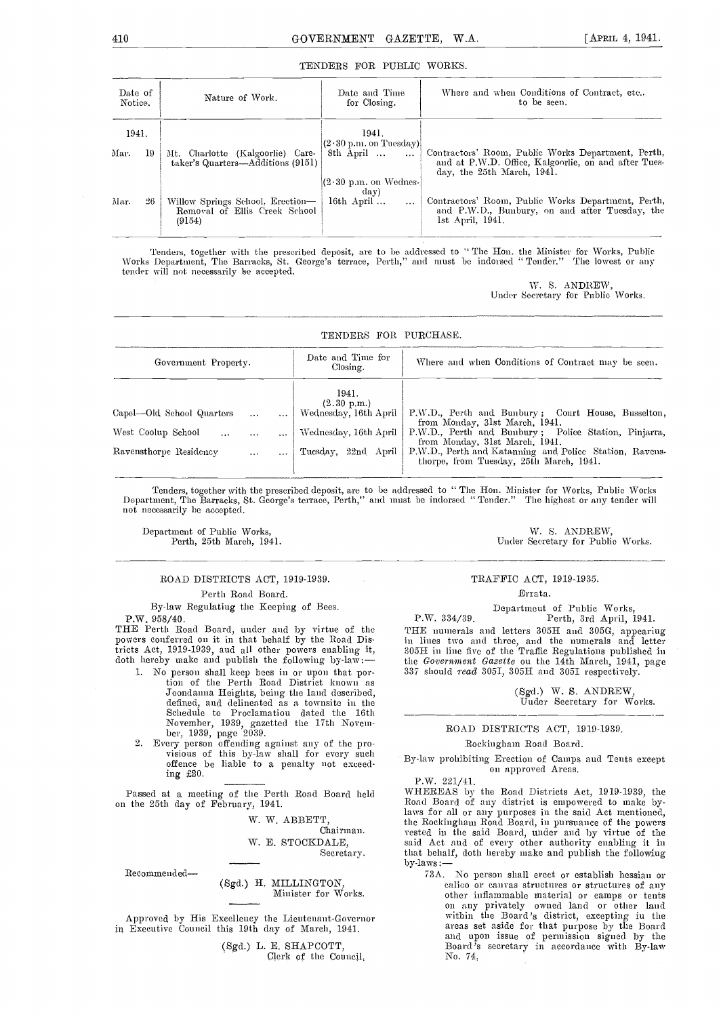#### TENDERS FOR PUBLIC WORKS.

| Date of<br>Notice. |    | Nature of Work.                                                             | Date and Time<br>for Closing.                 | Where and when Conditions of Contract, etc.,<br>to be seen.                                                                              |
|--------------------|----|-----------------------------------------------------------------------------|-----------------------------------------------|------------------------------------------------------------------------------------------------------------------------------------------|
| 1941.              |    |                                                                             | 1941.<br>$(2\cdot30 \text{ p.m. on Tuesday})$ |                                                                                                                                          |
| Mar.               | 19 | Mt. Charlotte (Kalgoorlie) Care-<br>taker's Quarters—Additions (9151)       | 8th April<br>$\cdots$                         | Contractors' Room, Public Works Department, Perth,<br>and at P.W.D. Office, Kalgoorlie, on and after Tues-<br>day, the 25th March, 1941. |
|                    |    |                                                                             | $(2.30 \text{ p.m. on Wednesday})$<br>day)    |                                                                                                                                          |
| Mar.               | 26 | Willow Springs School, Erection-<br>Removal of Ellis Creek School<br>(9154) | 16th April $\ldots$<br>$\cdots$               | Contractors' Room, Public Works Department, Perth,<br>and P.W.D., Bunbury, on and after Tuesday, the<br>$1st$ April, $1941$ .            |

Tenders, together with the prescribed deposit, are to ho addressed to The Hon. the Minister for Works, Public Works Department, The Barracks, St. George's terrace, Perth," and must be indorsed " Tender." The lowest or any tender will not necessarily be accepted.

\V. S. ANDREW, Under Secretary for Public Works.

| TENDERS FOR PURCHASE.                                                                                          |                                                                                               |                                                                                                                                                                                                                                                                                      |  |  |  |  |  |  |
|----------------------------------------------------------------------------------------------------------------|-----------------------------------------------------------------------------------------------|--------------------------------------------------------------------------------------------------------------------------------------------------------------------------------------------------------------------------------------------------------------------------------------|--|--|--|--|--|--|
| Government Property.                                                                                           | Date and Time for<br>Closing.                                                                 | Where and when Conditions of Contract may be seen.                                                                                                                                                                                                                                   |  |  |  |  |  |  |
| Capel—Old School Quarters<br>West Coolup School<br>$\ddotsc$<br>$\cdots$<br>Ravensthorpe Residency<br>$\cdots$ | 1941.<br>(2.30 p.m.)<br>Wednesday, 16th April<br>Wednesday, 16th April<br>Tuesday, 22nd April | P.W.D., Perth and Bunbury; Court House, Busselton,<br>from Monday, 31st March, 1941.<br>P.W.D., Perth and Bunbury; Police Station, Pinjarra,<br>from Monday, 31st March, 1941.<br>P.W.D., Perth and Katanning and Police Station, Ravens-<br>thorpe, from Tuesday, 25th March, 1941. |  |  |  |  |  |  |

Tenders, together with the prescribed deposit, are to be addressed to "The Hon. Minister for Works, Public Works<br>Department, The Barracks, St. George's terrace, Perth," and must be indorsed "Tender." The highest or any ten

1) Department of Public Works, W. S. ANDREW, Perth, 25th March, 1941. (1991) W. S. ANDREW, Perth, 25th March, 1941.

Under Secretary for Public Works.

#### ROAD DISTRICTS ACT, 1919-1939. Perth Road Board.

By-law Regulating the Keeping of Bees. P.W. 958/40.

THE Perth Road Board, under and by virtue of the powers conferred on it in that behalf by the Road Dis-

- 1. No person shall keep bees in or upon that portion of the Perth Road District known as Joondanna Heights, being the land described, defined, and delineated as a towasite in the Proclamatiou dated the 16th
- November, 1939, gazetted the 17th Novem-<br>
ber, 1939, page 2039.<br>
2. Every person offending against any of the pro-<br>
visions of this by-law shall for every such<br>
offence be liable to a penalty not exceeding £20.

Passed at a meeting of the Perth Road Board held on the 25th day of February, 1941.

W. W. ABBETT,

Chairman. W. E. STOCKDALE,

Secretary.

Recommended-

(Sgd.) H. MILLINGTON, Minister for Works.

Approved by His Excellency the Lieutenant-Governor in Executive Council this 19th day of March, 1941.

(Sgd.) L. E. SHAPCOTT,<br>Clerk of the Council,

TRAFFIC ACT, 1919-1935.

#### Errata.

Department of Public Works, P.W. 334/39. Perth, 3rd April, 1941.

tricts Act, 1919-1939, aud all other powers enabling it,<br>doth hereby make and publish the following by-law:—<br>1. No person shall keep bees in or upon that por-<br>337 should read 3051, 305H and 305I respectively. THE numerals and letters 305H and 305G, appearing in lines two and three, and the numerals and letter 30511 in line five of the Traffic Regulations published in the Government Gazette ou the 14th March, 1941, page

> (Sgd.) W. S. ANDREW Under Secretary for Works.

#### ROAD DISTRICTS ACT, 1919-1939.

#### Rockingham Road Board.

By-law prohibiting Erection of Canips and Tents except on approved Areas.

P.W. 221/41.

WHEREAS by the Road Districts Act, 1919-1939, the Road Board of any district is empowered to make bylaws for all or any purposes in the said Act mentioned, the Rockingham Road Board, in pursuance of the pow'ers vested in the said Board, under and by virtue of the said Act and of every other authority enabling it in that behalf, doth hereby make and publish the following by-laws:—

73A. No person shall erect or establish hessian or calico or canvas structures or structures of any other inflammable material or camps or tents on any privately owned land or other land within the Board's district, excepting in the areas set aside for that purpose by the Board and upon issue of permission signed by the Beard's secretary in accordance with By-law No. 74,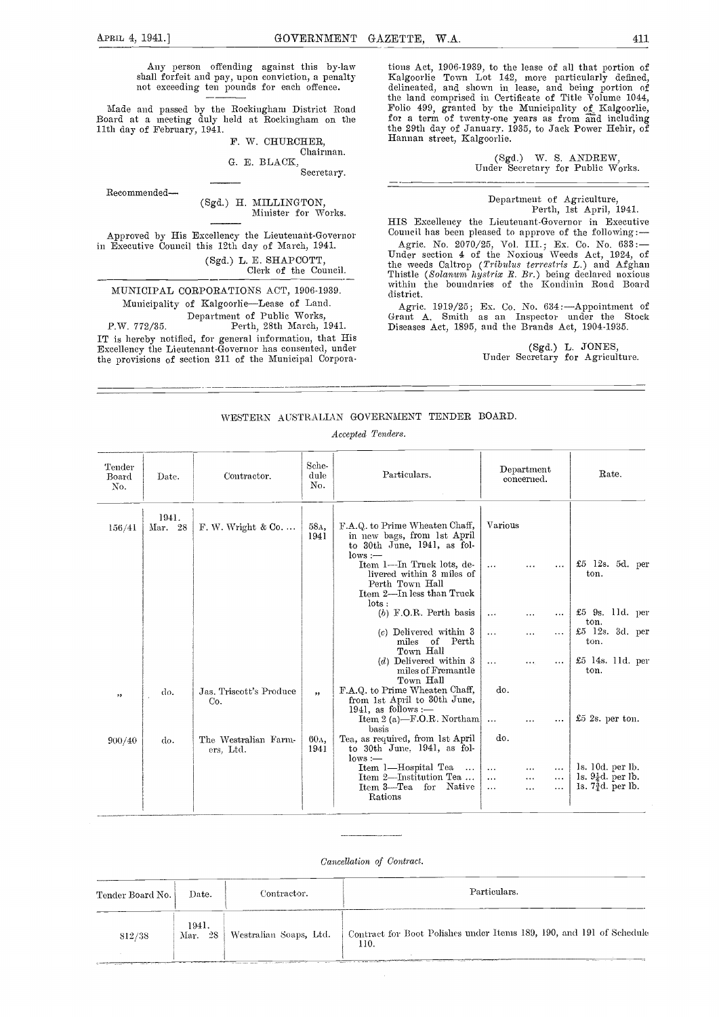shall forfeit and pay, upon conviction, a penalty not exceeding ten pounds for each offence.

Made and passed by the Rockingham District Road Folio 499, granted by the Board at a meeting duly held at Rockingham on the 11th day of February, 1941.<br>
In W CHURCHER Hannan street, Kalgoorlie.

F. W. CHURCHER,

Chairman. E. BLACK,

Secretary.

Recommended (Sgd.) H. MILLINGTON, Minister for Works.

in Executive Council this 12th day of March, 1941. (Sgd.) L. E. SHAPCOTT, Clerk of the Council.

MUNICIPAL CORPORATIONS ACT, 1906-1939. Municipality of Kalgoorlie-Lease of Land. Department of Public Works,

P.W. 772/35. Perth, 28th March, 1941. IT is hereby notified, for general information, that His Excellency the Lieutenant-Governor has consented, under the provisions of section 211 of the Municipal Corpora-

Any person offending against this by-law tions Act, 1906-1939, to the lease of all that portion of all forfeit and pay, upon conviction, a penalty Kalgoorlie Town Lot 142, more particularly defined, Act, 1906-1939, to the lease of all the define that define the land comprised in Certificate of Title Volume 1044, Folio 499, granted by the Municipality of Kalgoorlie, for a term of twenty-one years as from and including the 29th day of January. 1935, to Jack Power Hehir, of

> (Sgd.) W. S. ANDREW, Under Secretary for Public Works.

# Department of Agriculture, Perth, 1st April, 1941.

Approved by His Excellency the Lieutenant-Governor Council has been pleased to approve of the following: HIS Excellency the Lieutenant-Governor in Executive

Agric. No. 2070/25, Vol. III.; Ex. Co. No. 633: Under section 4 of the Noxious Weeds Act, 1924, of the weeds Caltrop (Tribnlss terresti'is L.) aisd Afghan Thistle (Solanum hysirix R. Br.) being declared noxious within the boundaries of the Kondinin Road Board district.

Agric. 1919/25; Ex. Co. No. 634: Appointment of Grant A. Smith as an Inspector under the Stock Diseases Act, 1895, and the Brands Act, 1904-1935.

(Sgd.) L. JONES,<br>Under Secretary for Agriculture.

#### WESTERN AUSTRALIAN GOVERNMENT TENDER BOARD.

Accepted Tenders.

| Tender<br>Board<br>No. | Date.            | Contractor.                       | Sche-<br>dule<br>No.    | Particulars.                                                                                                                                                                           | Department<br>concerned.                                                                                  | Rate.                                                                              |
|------------------------|------------------|-----------------------------------|-------------------------|----------------------------------------------------------------------------------------------------------------------------------------------------------------------------------------|-----------------------------------------------------------------------------------------------------------|------------------------------------------------------------------------------------|
| 156/41                 | 1941.<br>Mar. 28 | $F. W. Wright & Co. \ldots$       | 58д,<br>1941            | F.A.Q. to Prime Wheaten Chaff,<br>in new bags, from 1st April<br>to 30th June, 1941, as fol-<br>$lows :=$<br>Item 1-In Truck lots, de-<br>livered within 3 miles of<br>Perth Town Hall | Various<br>.<br>$\cdot \cdot \cdot$                                                                       | £5 12s. 5d. per<br>ton.                                                            |
|                        |                  |                                   |                         | Item 2-In less than Truck<br>$_{\text{lots}}$ :<br>$(b)$ F.O.R. Perth basis<br>$(c)$ Delivered within 3<br>miles of Perth<br>Town Hall                                                 | $\cdots$<br>$\cdots$<br>.<br>$\cdots$<br>$\cdots$<br>.                                                    | $\pounds 5$ 9s. 11d. per<br>ton.<br>£5 12s. 3d. per<br>ton.                        |
|                        |                  |                                   |                         | $(d)$ Delivered within 3<br>miles of Fremantle<br>Town Hall                                                                                                                            | $\cdots$<br>$\cdots$<br>$\cdots$                                                                          | $£5$ 14s. 11d. per<br>ton.                                                         |
| , ,                    | do.              | Jas. Triscott's Produce<br>Co.    | $\overline{\mathbf{z}}$ | F.A.Q. to Prime Wheaten Chaff,<br>from 1st April to 30th June,<br>1941, as follows :-<br>Item 2 (a)-F.O.R. Northam<br>basis                                                            | do.<br>$\ddots$<br>                                                                                       | $£5$ 2s. per ton.                                                                  |
| 900/40                 | do.              | The Westralian Farm-<br>ers. Ltd. | 60л.<br>1941            | Tea, as required, from 1st April<br>to 30th June, 1941, as fol-<br>$_{\text{lows}}:=$<br>Item 1-Hospital Tea<br>$\cdots$<br>Item 2-Institution Tea<br>Item 3—Tea for Native<br>Rations | do.<br>$\cdots$<br>$\cdots$<br>.<br>$\cdots$<br>$\cdots$<br>$\cdots$<br>$\ddotsc$<br>$\cdots$<br>$\cdots$ | ls. 10d. per lb.<br>ls. $9\frac{1}{4}d$ . per lb.<br>1s. $7\frac{3}{4}d$ . per lb. |

#### Cancellation of Contract.

| Tender Board No. | Date.               | Contractor.            | Particulars.                                                                 |
|------------------|---------------------|------------------------|------------------------------------------------------------------------------|
| 812/38           | 1941.<br>28<br>Mar. | Westralian Soaps, Ltd. | Contract for Boot Polishes under Items 189, 190, and 191 of Schedule<br>110. |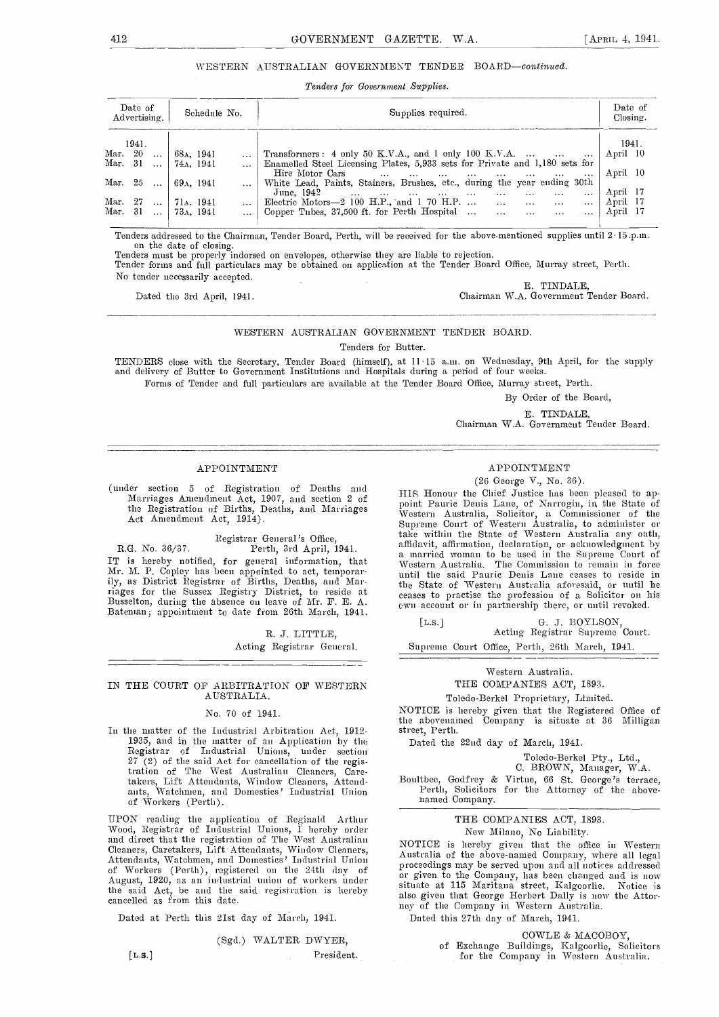#### WESTERN AUSTRALIAN GOVERNMENT TENDER BOARD-continued.

Tenders for Government Supplies.

| Date of<br>Advertising.      | Schedule No. | Supplies required.                                                                                                                                                                                                                                                                                      | Date of<br>Closing. |  |
|------------------------------|--------------|---------------------------------------------------------------------------------------------------------------------------------------------------------------------------------------------------------------------------------------------------------------------------------------------------------|---------------------|--|
| 1941.                        |              |                                                                                                                                                                                                                                                                                                         | 1941.               |  |
| Mar. 20<br>$\sim 100$        | 68a. 1941    | Transformers: $4$ only $50$ K.V.A., and 1 only 100 K.V.A.                                                                                                                                                                                                                                               | April 10            |  |
| Mar. 31<br>$\ddots$          | 74a. 1941    | Enamelled Steel Licensing Plates, 5,933 sets for Private and 1,180 sets for                                                                                                                                                                                                                             |                     |  |
|                              |              | Hire Motor Cars                                                                                                                                                                                                                                                                                         | April 10            |  |
| Mar. 25<br>$\ddotsc$         | 69a. 1941    | White Lead, Paints, Stainers, Brushes, etc., during the year ending 30th                                                                                                                                                                                                                                |                     |  |
|                              |              | June. 1942<br>the company of the company of the company of the company of the company of the company of the company of the company of the company of the company of the company of the company of the company of the company of the company<br>$\cdots$<br>$\cdots$<br>$\cdots$<br>$\cdots$<br>$\cdots$ | April 17            |  |
| Mar. 27<br>$\cdots$          | 71s. 1941    | Electric Motors $-2$ 100 H.P., and 1 70 H.P<br><b>Contract Contract</b><br>$\cdots$<br>$\cdots$                                                                                                                                                                                                         | April 17            |  |
| Mar. 31<br>$\sim$ 1440 $\pm$ | 73a. 1941    | Copper Tubes, $37,500$ ft. for Perth Hospital<br>$\cdots$<br>$\cdots$                                                                                                                                                                                                                                   | April 17            |  |

Tenders addressed to the Chairman, Tender Board, Perth, will be received for the above-mentioned supplies until 2 .15.p.m.

on the date of closing.<br>Tenders must be properly indorsed on envelopes, otherwise they are liable to rejection.<br>Tender forms and full particulars may be obtained on application at the Tender Board Office, Murray street, Pe No tender necessarily accepted. E. TINDALE,

Chairman W.A. Government Tender Board.

WESTERN AUSTRALIAN GOVERNMENT TENDER BOARD. Tenders for Butter.

TENDERS close with the Secretary, Tender Board (himself), at 11.15 a.m. on Wednesday, 9th April, for the supply and delivery of Butter to Government Institutions and Hospitals during a period of four weeks.

Forms of Tender and full particulars are available at the Tender Board Office, Murray street, Perth.

By Order of the Board,

E. TINPALE,

Chairman W.A. Government Tender Board.

#### APPOINTMENT

(under section 5 of Registration of Deaths and  $\frac{1}{18}$  HIS Honour the Chief Justice has been pleased to ap-Marriages Amendment Act, 1907, and section 2 of the Registration of Births, Deaths, and Marriages and Marriages and Marriages and Music

Registrar General's Office,

R.G. No. 36/37. Perth, 3rd April, 1941. IT is hereby notified, for general information, that Mr. M. P. Copley has been appointed to act, temporar-<br>ily, as District Registrar of Birtlis, Deatlis, and Mariiy, as District Registrar of Births, Deaths, and Mar- riages for the Sussex Registry District, to reside at Busselton, during the absence on leave of Mr. F. E. A.<br>Batenian; appointment to date from 26th March, 1941.

> R. J. LITTLE, Acting Registrar General.

#### IN THE COURT OF ARBITRATION OF WESTERN AUSTRALIA.

#### No. 70 of 1941.

In the matter of the Industrial Arbitration Act, 1912- 1935, and in the matter of an Application by the  $\hbox{\small$\Gamma$}$  Registrar of Industrial Unions, under section 27 (2) of tile said Act for cancellation of the regis. tratioa of Tile West Australian Cleaners, Care. takers, Lift Attendants, Window Cleaners, Attendants, Watchmen, and Domestics' Industrial Union of Workers (Perth).

UPON reading the application of Reginald Arthur Wood, Registrar of Industrial Unions, I hereby order<br>and direct that the registration of The West Anstralian NOT<br>Cleaners, Caretakers, Lift Attendants, Window Cleaners, Anst Attendants, Watchmen, and Domestics' Industrial Union Caust<br>of Workers (Perth), registered on the 24th day of proc August, 1920, as an industrial union of workers under  $\frac{0}{s}$ the said Act, be and the said registration is hereby  $\frac{\text{stat}}{\text{also}}$ cancelled as from this date.

Dated at Perth this 21st day of March, 1941.

(Sgd.) WALTER DWYER, [L.S.] President.

## APPOINTMENT

(26 George V., No. 36).

1115 Honour the Chief Justice has been pleased to ap-<br>point Pauric Denis Lane, of Narrogin, in the State of<br>Western Australia, Solicitor, a Commissioner of the Supreme Court of Western Australia, to administer or take within the State of Western Australia any oath, affidavit, affirmation, declaration, or acknowledgment by affidavit, affirmation, declaration, or acknowledgment by a married woman to be used in the Supreme Court of Western Australia. The Commission to remain in force until the said Pauric Denis Lane ceases to reside in the State of Western Australia aforesaid, or until he ceases to practise the profession of a Solicitor on his own account or in partnership there, or until revoked.

[L.S.] G. J. BOYLSON, Acting Registrar Supreme Court.

Supreme Court Office, Perth, 26th March, 1941.

#### Western Australia.

#### THE COMPANIES ACT, 1893.

Toledo-Berkel Proprietary, Limited.

NOTICE is hereby given that the Registered Office of the abovenained Company is situate at 36 Milligan street, Perth.

Dated the 22nd day of March, 1941.

Toledo-Berkel Pty., Ltd., C. BROWN, Manager, W.A.

Boultbee, Godfrey & Virtue, 66 St. George's terrace, Perth, Solicitors for tile Attorney of the above- named Company.

#### THE COMPANIES ACT, 1893. New Milano, No Liability.

NOTICE is hereby given that the office in Western<br>Australia of the above-named Company, where all legal Australia of the above-named Company, where all legal proceedings may be served upon and all notices addressed or given to the Company, has been changed and is now situate at 115 Maritana street, Kalgoorlie. Notice is also given that George Herbert Daily is now the Attor- ney of the Company in Western Australia. Dated this 27th day of March, 1941.

COWLE & MACOBOY,

of Exchange Buildings, Kalgoorlie, Solicitors for the Company in Western Australia,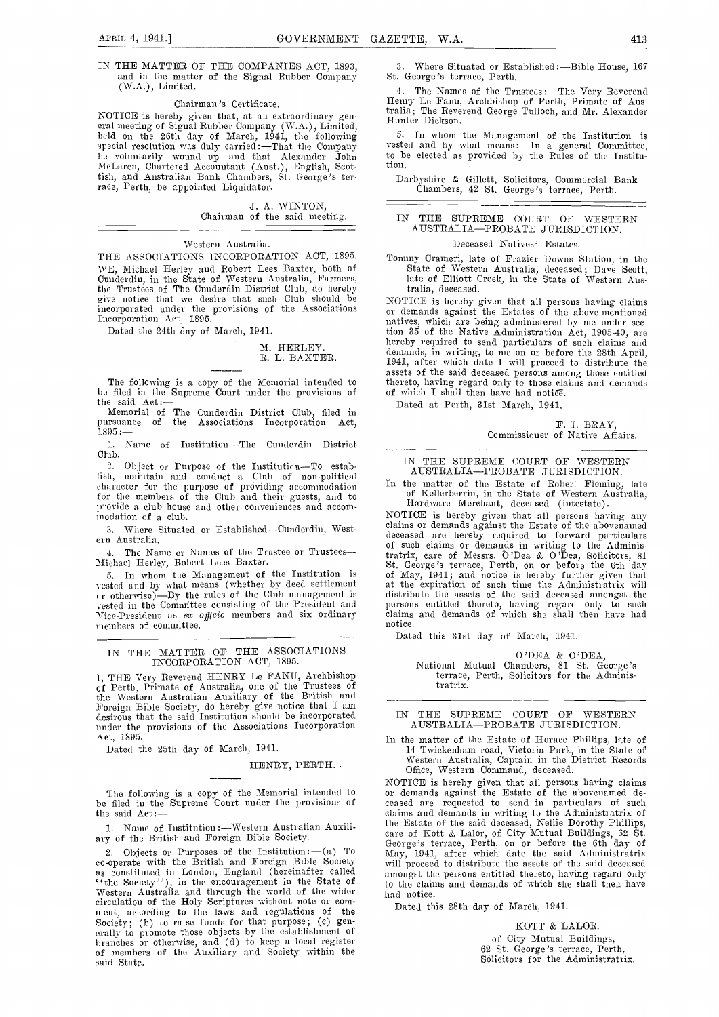#### Chairman's Certificate.

NOTICE is hereby given that, at an extraordinary gen-<br>eral meeting of Signal Rubber Company (W.A.), Limited,<br>held on the 26th day of March, 1941, the following  $\frac{5}{7}$ .  $s$ pecial resolution was duly carried :—That the Company  $\;$  vested be voluntarily wound up and that Alexander John to t MeLaren, Chartered Accountant (Aust.), English, Scottish, and Australian Bank Chambers, St. George's terrace, Perth, he appointed Liquidator.

> J. A. WINTON, Chairman of the said meeting.

#### Western Australia.

THE ASSOCIATIONS INCORPORATION ACT, 1895. WE, Michael Herley and Robert Lees Baxter, both of Cunderdin, in the State of Westera Australia, Farmers, the Trustees of The Cunderdin District Club, do hereby the space of The Cunderdin District Club, do hereby the<br>give notice that we desire that such Club should be  $\rm{NOT}$ incorporated under the provisions of the Associations  $\overline{\overline{\phantom{1}}}$ Incorporation Act, 1S95.

Dated the 24th day of March, 1941.

#### M. HERLEY. R. L. BAXTER.

The following is a copy of the Memorial intended to thereto, having regard only to those cla<br>be filed in the Supreme Court under the provisions of of which I shall then have had notice,<br>Dated at Perth. 31st March. 1941

Memorial of The Cunderdin District Club, filed in<br>presuance of the Associations Incorporation Act. pursuance of the Associations Incorporation  $1895:-$ 

1. Name of Institution-The Cunderdin District Club.

2. Object or Purpose of the Institution-To establish, maintain and conduct a Club of non-political lish, maintain and conduct a Club of non-political and I cluster for the purpose of providing accommodation and I for the members of the Club and their guests, and to  $\frac{0}{L}$ 

3. Where Situated or Established-Cunderdin, Western Australia.

The Name or Names of the Trustee or Trustees-Michael Herley, Robert Lees Baxter.

5. In whom the Management of the Institution is vested and by what means (whether by deed settlement or otherwise)—By the rules of the Club management is vested in the Committee consisting of the President and Vice-President as *ex officio* members and six ordinary members of committee.

## IN THE MATTER OF THE ASSOCIATIONS INCORPORATION ACT, 1895.

I, THE Very Reverend HENRY Le FANU, Archbishop of Perth, Primate of Australia, one of the Trustees of of Western Australian Auxiliary of the British and Foreign Bible Society, do hereby give notice that I am desirous that the said Institution should be incorporated under the provisions of the Associations Incorporation Act, 1895.

Dated the 25th day of March, 1941.

HENRY, PERTH..

the said Act:-

1. Name of Institution :- Western Australian Auxiliary of the British and Foreign Bible Society.

2. Objects or Purposes of the Institution :  $-(a)$  To co-operate with the British and Foreign Bible Society will proceed to distribute the assets of the said deceased as constituted in London, England (hereinafter called anon "<br>"the Society"), in the encouragement in the State of to the<br>Western Australia and through the world of the wider had i<br>circulation of the Holy Scriptures without ment, according to the laws and regulations of the Society; (b) to raise funds for that purpose; (c) generally to promote those objects by the establishment of branches or otherwise, and (d) to keep a local register of members of the Auxiliary a nil Society within the said State,

Where Situated or Established:-Bible House, 167

4. The Names of the Trustees :—The Very Reverend Henry Le Fanu, Archbishop of Perth, Primate of Australia; The Reverend George Tulloch, and Mr. Alexander<br>Hunter Dickson.

5. In whom the Management of the Institution is vested and by what means:  $\overline{-1}n$  a general Committee, to be elected as provided by the Rules of the Institution.

Darbyshire & Gillett, Solicitors, Commorcial Bank Chambers, 42 St. George's terrace, Perth.

#### IN THE SUPREME COURT OF WESTERN AUSTRALIA-PROBATE JURISDICTION.

#### Deceased Natives' Estates.

Tommy Crameri, late of Frazier Downs Station, in the State of Western Austrnha, deceased; Dave Scott, late of Elliott Creek, in the State of Western Australia, deceased.

NOTICE is hereby given that all persons having claims or demands against the Estates of the above-mentioned natives, which are being administered by me under section 35 of the Native Administration Act, 1905-40, are hereby required to send particulars of such claims and demands, in writing, to me on or before the 28th April, 1941, after which date I will proceed to distribute the assets of the said deceased persons among those entitled thereto, having regard only to those claims and demands

Dated at Perth, 31st March, 1941.

F. I. BRAY, Commissioner of Native Affairs.

IN TIlE SUPREME COURT OF WESTERN AUSTRALIA-PROBATE JURISDICTION.

In the matter of the Estate of Robert Fleming, late of Kellerberrin, in the State of Western Australia, Hardware Merchant, deceased (intestate).

provide a club house and other conveniences and accom-<br>modation of a club.<br>a Where Situated or Established—Cunderdin West. claims or demands against the Estate of the abovenamed NOTICE is hereby given that all persons having any deceased are hereby required to forward particulars of such claims or demands in writing to the Administratrix, care of Messrs. O'Dea & O'Dea, Solicitors, 81 tratrix, care of Messrs. O 'Dea & 0 'Den, Solicitors, 81 St. George's terrace, Perth, on or before the 6th day of May, 1941; and notice is hereby further given that<br>at the expiration of snch time the Administratrix will<br>distribute the assets of the said deceased amongst the<br>persons cntitled thereto, having regard only to such<br>claim notice.

Dated this 31st day of March, 1941.

O'DEA & O'DEA, National Mutual Chanibers, 81 St..George's terrace, Perth, Solicitors for the AdIministratrix.

#### IN THE SUPREME COURT OF WESTERN AUSTRALIA-PROBATE JURISDICTION.

In the matter of the Estate of Horace Phillips, late of 14 Twiekenham road, Victoria Park, in tile State of Western Australia, Captain in the District Records Office, Western Command, deceased.

The following is a copy of the Memorial intended to or demands against the Estate of the abovemaned debe filed in the Supreme Court under the provisions of ceased are requested to send in particulars of such NOTICE is hereby given that all persons having claims or demands against the Estate of the abovenamed declaims and demands in writing to the Administratrix of the Estate of the said deceased, Nellie Dorothy Phillips, care of Kott & Lalor, of City Mutual Buildings, 62 St. George's terrace, Perth, on or before the 6th day of May, 1941, after which date the said Administratrix amongst the persons entitled thereto, having regard only to the claims and demands of which she shall then have had notice.

Dated this 28th day of March, 1941.

KOTT & LALOR, of City Mutual Buildings,<br>62 St. George's terrace, Perth,<br>Solicitors for the Administratrix.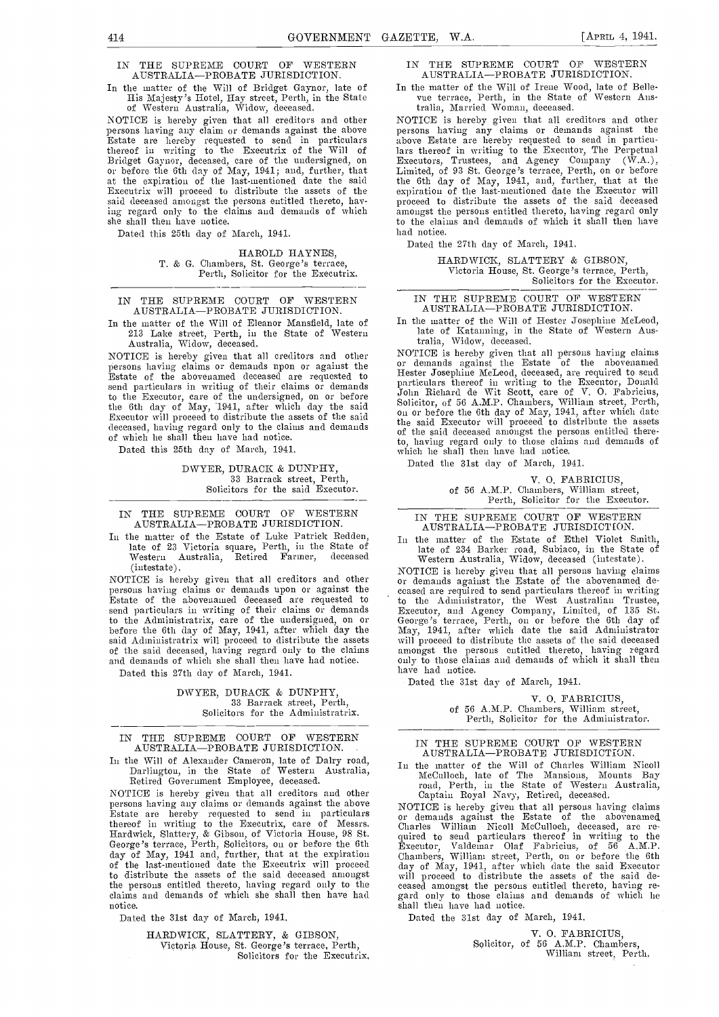## IN THE SUPREME COURT OF WESTERN AUSTRALIA-PROBATE JURISDICTION.<br>In the matter of the Will of Bridget Gaynor, late of

In. the matter of the Will of Bridget Gaynor, late of His Majesty's Hotel, Hay street, Perth, in the State of Western Australia, Widow, deceased.

NOTICE is hereby given that all creditors and other persons having any claim or demands against the above Estate are hereby requested to send in particulars thereof in writing to the Executrix of the Will of Bridget Gaynor, deceased, care of the undersigned, on or before the 6th day of May, 1941; and, further, that at the expiration of the last-mentioned date the said is Executrix will proceed to distribute the assets of the said deceased amongst the persons entitled thereto, having regard only to the claims and demands of which she shall then have notice.

Dated this 25th day of March, 1941.

HAROLD HAYNES, T. & G. Chambers, St. George's terrace, Perth, Solicitor for the Executrix.

IN THE SUPREME COURT OF WESTERN AUSTRALIA-PROBATE JURISDICTION.

In the matter of the Will of Eleanor Mansfield, late of The 11 213 Lake street, Perth, in the State of Western Australia, Widow, deceased.

NOTICE is hereby given that all creditors and other persons having claims or demands upon or against the Estate of the abovenamed deceased are requested to Figure send particulars in writing of their claims or demands  $p_A^{\text{na}}$ to the Executor, care of the undersigned, on or before  $\frac{J \text{olir}}{S \text{olic}}$ the 6th day of May, 1941, after which day the said Executor will proceed to distribute the assets of the said deceased, having regard only to the claims and demands the said Executor will proceed to distribute the assets<br>of which he shall then have had notice.

Dated this 25th day of March, 1941.

DWYER, DURACK & DIJNPHY, 33 Barrack street, Perth, Solicitors for the said Executor.

IN THE SUPREME COURT OF WESTERN AUSTRALIA-PROBATE JURISDICTION.<br>In the matter of the Estate of Luke Patrick Redden,

In the matter of the Estate of Luke Patrick Redden,<br>
In the matter of the Estate of Ethel Violet Smith,<br>
late of 234 Barker road, Subiaco, in the State of<br>
Western Australia, Widow, deceased (intestate). Retired Farmer, (intestate).

NOTICE is hereby given that all creditors and other persons having claims or demands upon or against the Estate of the abovenamed deceased are requested to send particulars in writing of their claims or demands to the Administratrix, care of the undersigned, on or before the 6th day of May, 1941, after which day the said Administratrix will proceed to distribute the assets of the said deceased, having regard only to the claims amongst the per<br>and demands of which she shall then have had notice. Only to those claim<br>Dated this 27th day of March, 1941. have had notice.

Dated this 27th day of March, 1941.

#### DWYER, DURACK & DUNPRY, 33 Barrack street, Perth, Solicitors for the Administratrix.

#### IN THE SUPREME COURT OF WESTERN AUSTRALIA-PROBATE JURISDICTION.

In the Will of Alexander Cameron, late of Dairy road, Darlingtoa, in the State of Western Australia, Retired Government Employee, deceased.

NOTICE is hereby given that all creditors and other<br>persons having any claims or demands against the above<br>Estate are hereby requested to send in particulars or thereof in writing to the Executrix, care of Messrs. Hardwick, Slattery, & Gibson, of Victoria House, 98 St. Guired George's terrace, Perth, Solicitors, on or before the 6th day of May, 1941 and, further, that at the expiration Cham of the last-mentioned date the Executrix will proceed  $\frac{\partial u}{\partial xy}$ to distribute the nssets of the said deceased amongst the persons entitled thereto, having regard only to the claims and demands of which she shall then have had notice.

Dated the 31st day of March, 1941.

HARD WICK, SLATTERY, & GIBSON, Yictoria House, St. George's terrace, Perth, Solicitors for the Executrix,

#### IN THE SUPREME COURT OF WESTERN AUSTRALIA-PROBATE JURISDICTION.

In the matter of tile Will of Irene Wood, late of Belle. vue terrace, Perth, in the State of Western Australia, Married Woman, deceased.

NOTICE is hereby givell that all creditors and other persons having any claims or demands against the above Estate are hereby requested to send in particu lars thereof in writing to the Executor, The Perpetual Executors, Trustees, and Agency Company (W.A.), Limited, of 93 St. George's terrace, Perth, on or before tile 6th day of May, 1941, and, further, that at tile expiration of the last-mentioned date the Executor will proceed to distribute the assets of the said deceased amongst the persons entitied thereto, having regard only to the claims and demands of which it shall then have had notice.

Dated the 27th day of March, 1941.

HARDWICK, SLATTERY & GIBSON, Victoria House, St. George's terrace, Perth, Solicitors for the Executor.

IN THE SUPREME COURT OF WESTERN AUSTRALIA-PROBATE JURISDICTION.

In the matter of the Will of Hester Josephine McLeod, late of Katanning, in the State of Western Australia, Widow, deceased.

NOTICE is hereby given that all persons having claims or demands against the Estate of the abovenamed Hester Josephine McLeod, deceased, are required to send particulars thereof in writing to the Executor, Donald John Richard de Wit Scott, care of V. 0. Fabricius, Solicitor, of 56 AMP. Chambers, William street, Perth, on or before the 6th day of May, 1941, after which date the said Executor will proceed to distribute the assets of the said deceased amongst the persons entitled thereto, having regard only to those claims and demands of which lie shall then have had notice.

Dated the 31st day of March, 1941.

V. 0. FABRICIUS,

of 56 AMP. Chambers, Wilhiani street, Perth, Solicitor for the Executor.

IN THE SUPREME COURT OF WESTERN<br>AUSTRALIA—PROBATE JURISDICTION.

Inte of 234 Barker road, Subiaco, in the State of Western Australia, Widow, deceased (intestate).

NOTICE is hereby given that all persons having claims or demands against the Estate of the abovenamed deto the Athninistrator, the West Australian Trustee, Executor, and Agency Company, Limited, of 135 St. George's terrace, Perth, on or before the 6th day of May, 1941, after which date time said Administrator will proceed to distribute the assets of the said deceased amongst tile persons entitled thereto, having regard only to those claims and demands of which it shall then<br>have had notice.

Dated the 31st day of March, 1941.

V. 0. FABRICIUS, of 56 A.M.P. Chambers, William street, Perth, Solicitor for the Administrator.

#### IN THE SUPREME COURT OF WESTERN AUSTRALIA-PROBATE JURISDICTION.

In the matter of the Will of Charles William Nicoll McCnhloch, late of Tile Mansions, Mounts Bay road, Perth, in the State of Western Australia, Captain Royal Navy, Retired, deceased.

NOTICE is hereby given that ali persons having claims or demands against the Estate of the abovename4 Charles William Nieoll McCulloch, deceased, are re- quired to send particulars thereof in writing to the Executor, Valdeniar Olaf Fabricius, of 56 AMP. Chambers, William street, Perth, on or before the 6th day of May, 1941, after which date the said Executor will proceed to distribute the assets of the said deceased amongst the persons entitled thereto, having re-<br>gard only to those claims and demands of which lie shall then have had notice.

Dated the 31st day of March, 1941.

V. 0. FABRICIIJS, Solicitor, of 56 AMP. Chambers, William street, Perth.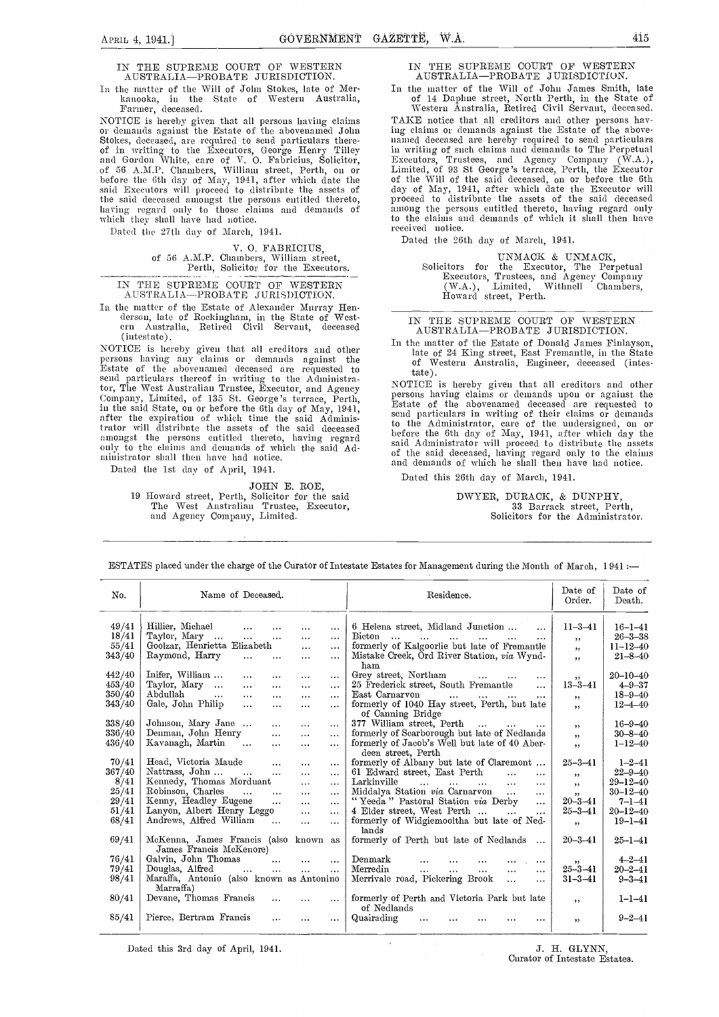#### IN THE SUPREME COURT OF WESTERN IN AUSTRALIA-PROBATE JURISDICTION.

In the matter of the Will of John Stokes, late of Merkanooka, in the State of Western Australia, Farnier, deceased.

NOTICE is hereby given that all persons having claims or demands against the Estate of the abovenamed John Stokes, deceased, are required to send particulars thereand Gordon White, care of V. 0. Fabricius, Solicitor, of 56 A.M.P. Chambers, Williani street, Perth, on or before the 6th day of May, 1941, after which date the of said Executors will proceed to distribute the assets of day

Dated the 27th day of March, 1941.

## V. 0. FABRICIUS of 56 A.M.P. Chambers, William street, Perth, Solicitor for tile Executors.

IN THE SUPREME COURT OF WESTERN AUSTRALIA-PROBATE JURISDICTION.

In the matter of the Estate of Alexander Murray Hen- derson, late of Rockingham, in the State of West- ern Australia, Retired Civil Servant, deceased (intestate).

Estate of the abovenamed deceased are requested to send particulars thereof in writing to the Administrator, The West Australian Trustee, Executor, and Agency Company, Linnted, of 135 St. George's terrace, Perth, in the said State, on or before the 6th day of May, 1941,<br>after the expiration of which time the said Administrator will distribute the assets of the said deceased  $\frac{10^{-1}}{h}$ amongst the persons entitled thereto, having regard  $\begin{array}{cc} \text{peror} \\ \text{only} \text{ to the claims and demands of which the said Ad-} \\ \text{of the original data} \end{array}$ only to the claims and demands of which the said Administrator shall then have had notice.

Dated the 1st day of April, 1941.

JOHN E. ROE,

19 Howard street, Perth, Solicitor for the said The Wrest Australian Trustee, Executor, and Agency Company, Limited.

#### THE SUPREME COURT OF WESTERN AUSTRALIA-PROBATE JURISDICTION.

In the matter of the Will of John James Smith, late of 14 Daphne street, North Perth, in the State of Western Australia, Retired Civil Servant, deceased.

the said Executors will proceed to distribute the assets of day of May, 1941, after which date the Executor will<br>the said deceased amongst the persons entitled thereto, have in the said deceased<br>having regard only to those TAKE notice that all creditors and other persons having claims or deniands against the Estate of the above- named deceased are hei-eby required to send particulars in writing of such claims and demands to The Perpetual Executors, Trustees, and Agency Company (W.A.),<br>Limited, of 93 St George's terrace, Perth, the Executor<br>of the Will of the said deceased, on or before the 6th among the persons entitled thereto, having regard only to the claims and demands of which it shall then have received untice.

Dated the 26th day of March, 1941.

UNMACK & UNMACK, Solicitors for the Executor, Tile Perpetual Executors, Trustees, and Agency Company (WA.), Limited, Witlmell Chambers, Howard street, Perth.

IN THE SUPREME COURT OF WESTERN AUSTRALIA-PROBATE JURISDICTION.

(Intestate).<br>NOTICE is hereby given that all creditors and other persons having any claims or demands against the persons having any elaims or demands against the of Western Australia Eugèneer decessed (intes-In the matter of the Estate of Donald James Finlayson, late of 24 King street, East Fremantle, in the State of Western Australia, Engineer, deceased (intestate).

NOTICE is hereby given that all creditors and other persons having claims or demands upon or against the Estate of the abovenamed deceased are requested to send particulars in writing of their claims or demands to the Administrator, care of the undersigned, on or before the 6th day of May, 1941, after which day the said Administrator will proceed to distribute the assets of the said deceased, having regard only to the claims and demands of which he shall then have had notice.

Dated this 26th day of March, 1941.

DWYER, DURACK, & DUNPHY, 33 Bariack street, Perth, Solicitors for the Administrator.

| No.    | Name of Deceased.                                                            | Residence.                                                                                                                                                  | Date of<br>Order. | Date of<br>Death. |
|--------|------------------------------------------------------------------------------|-------------------------------------------------------------------------------------------------------------------------------------------------------------|-------------------|-------------------|
| 49/41  | Hillier, Michael<br>$\cdots$<br>$\cdots$<br>$\cdots$<br>$\cdots$             | 6 Helena street, Midland Junction<br>$\ddotsc$                                                                                                              | $11 - 3 - 41$     | $16 - 1 - 41$     |
| 18/41  | Taylor, Mary<br><b>Sales Control</b><br>$\mathbf{A}$<br>$\cdots$<br>$\cdots$ | Bicton<br>$\sim$ 100 $\sim$<br>and the company of the company of the company of the company of the company of the company of the company of the<br>$\cdots$ | , ,               | $26 - 3 - 38$     |
| 55/41  | Goolzar, Henrietta Elizabeth<br>$\cdots$<br>$\cdots$                         | formerly of Kalgoorlie but late of Fremantle                                                                                                                | , ,               | $11 - 12 - 40$    |
| 343/40 | Raymond, Harry<br>$\cdots$<br>$\cdots$<br>$\cdots$<br>$\cdots$               | Mistake Creek, Ord River Station, via Wynd-<br>ham                                                                                                          | , ,               | $21 - 8 - 40$     |
| 442/40 | Inifer, William<br>$\cdots$<br>$\cdots$<br>$\cdots$<br>$\cdots$              | Grey street, Northam<br>$\cdots$                                                                                                                            | ,,                | $20 - 10 - 40$    |
| 453/40 | Taylor, Mary<br>$\cdots$<br>$\cdots$<br>$\cdots$<br>$\cdots$                 | 25 Frederick street, South Fremantle<br>$\cdots$                                                                                                            | $13 - 3 - 41$     | $4 - 9 - 37$      |
| 350/40 | Abdullah<br>$\ddots$<br>$\cdots$<br>$\cdots$<br>$\cdots$<br>$\cdots$         | East Carnarvon<br>$\cdots$<br>$\cdots$<br>$\cdots$<br>$\cdots$                                                                                              | ,,                | $18 - 9 - 40$     |
| 343/40 | Gale, John Philip<br>$\cdots$<br>$\cdots$<br>$\cdots$<br>$\cdots$            | formerly of 1040 Hay street, Perth, but late<br>of Canning Bridge                                                                                           | , ,               | $12 - 4 - 40$     |
| 338/40 | Johnson, Mary Jane<br>$\cdots$<br>$\cdots$<br>$\cdots$                       | 377 William street, Perth<br><b>Contractor</b><br>$\cdots$                                                                                                  | , ,               | $16 - 9 - 40$     |
| 336/40 | Denman, John Henry<br>$\cdots$<br>$\cdots$<br>$\cdots$                       | formerly of Scarborough but late of Nedlands                                                                                                                | , ,               | $30 - 8 - 40$     |
| 436/40 | Kavanagh, Martin<br>$\sim$ $\sim$<br>$\cdots$<br>$\cdots$<br>$\cdots$        | formerly of Jacob's Well but late of 40 Aber-<br>deen street. Perth                                                                                         | , ,               | $1 - 12 - 40$     |
| 70/41  | Head, Victoria Maude<br>$\cdots$<br>$\cdots$<br>$\cdots$                     | formerly of Albany but late of Claremont                                                                                                                    | $25 - 3 - 41$     | $1 - 2 - 41$      |
| 367/40 | Nattrass, John<br>$\cdots$<br>$\cdots$<br>$\cdots$                           | 61 Edward street, East Perth<br>$\ddotsc$<br>$\cdots$                                                                                                       |                   | $22 - 9 - 40$     |
| 8/41   | Kennedy, Thomas Morduant<br>$\cdots$<br>$\cdots$                             | Larkinville<br>$\mathbf{1}$<br>$\ddotsc$<br>$\mathbf{r}$ and $\mathbf{r}$ and $\mathbf{r}$ and $\mathbf{r}$<br>$\cdots$                                     | , ,<br>, ,        | $29 - 12 - 40$    |
| 25/41  | Robinson, Charles<br>$\cdots$<br>$\cdots$<br>$\cdots$<br>$\cdots$            | Middalya Station via Carnarvon<br>$\cdots$<br>$\cdots$                                                                                                      | , ,               | $30 - 12 - 40$    |
| 29/41  | Kenny, Headley Eugene<br>$\cdots$<br>$\cdots$<br>$\cdots$                    | "Yeeda" Pastoral Station via Derby<br>$\cdots$                                                                                                              | $20 - 3 - 41$     | $7 - 1 - 41$      |
| 51/41  | Lanyon, Albert Henry Leggo<br>$\cdots$<br>$\cdots$                           | 4 Elder street, West Perth<br>$\sim$ $\sim$ $\sim$<br>$\cdots$                                                                                              | $25 - 3 - 41$     | $20 - 12 - 40$    |
| 68/41  | Andrews, Alfred William<br>$\cdots$<br>$\cdots$<br>$\cdots$                  | formerly of Widgiemooltha but late of Ned-<br>lands                                                                                                         | , ,               | $19 - 1 - 41$     |
| 69/41  | McKenna, James Francis (also known as<br>James Francis McKenore)             | formerly of Perth but late of Nedlands                                                                                                                      | $20 - 3 - 41$     | $25 - 1 - 41$     |
| 76/41  | Galvin, John Thomas<br>$\dddotsc$<br>$\cdots$<br>$\cdots$                    | Denmark<br>$\ddotsc$<br>$\cdots$                                                                                                                            | , ,               | $4 - 2 - 41$      |
| 79/41  | Douglas, Alfred<br>$\cdots$<br>$\cdots$<br>$\cdots$<br>$\cdots$              | Merredin<br>$\cdots$<br>$\cdots$<br>$\cdots$<br>$\cdots$<br>$\cdots$                                                                                        | $25 - 3 - 41$     | $20 - 2 - 41$     |
| 98/41  | Maraffa, Antonio (also known as Antonino<br>Marraffa)                        | Merrivale road, Pickering Brook<br>$\ddotsc$<br>$\cdots$                                                                                                    | $31 - 3 - 41$     | $9 - 3 - 41$      |
| 80/41  | Devane, Thomas Francis<br>$\cdots$<br>$\cdots$                               | formerly of Perth and Victoria Park but late<br>of Nedlands                                                                                                 | $, \,$            | $1 - 1 - 41$      |
| 85/41  | Pierce, Bertram Francis<br>$\cdots$<br>$\cdots$<br>$\cdots$                  | Quairading<br>$\cdots$<br>$\cdots$                                                                                                                          | , ,               | $9 - 2 - 41$      |

ESTATES placed under the charge of the Curator of Intestate Estates for Management during the Month of March, 1 941

Dated this 3rd day of April, 1941.  $J. H. GLYNN$ ,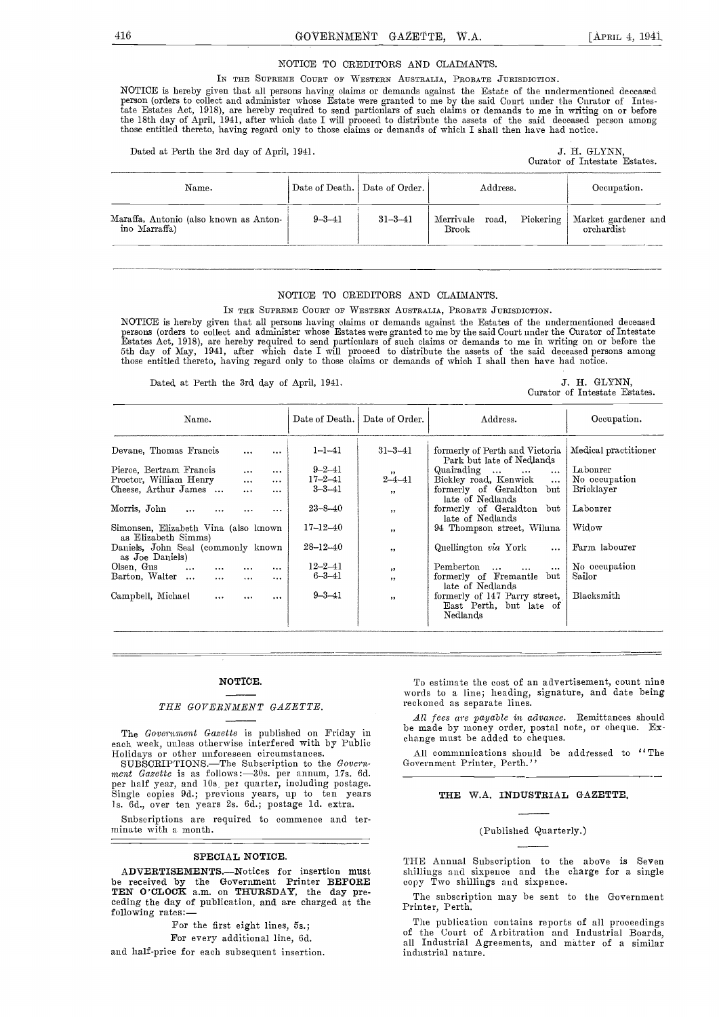#### NOTICE TO CREDITORS AND CLAIMANTS.

IN THE SUPREME COURT OF WESTERN AUSTRALIA, PROBATE JURISDICTION.

NOTICE is hereby given that all persons having claims or demands against the Estate of the undermentioned deceased<br>person (orders to collect and administer whose Estate were granted to me by the said Court under the Curato tate Estates Act, 1918), are hereby required to send particulars of such claims or demands to me in writing on or before the 18th day of April, 1941, after which date I will proceed to distribute the assets of the said deceased person among<br>those entitled thereto, having regard only to those claims or demands of which I shall then have had n

Dated at Perth the 3rd day of April, 1941. J. H. GLYNN,

Curator of Intestate Estates.

| Name.                                                   |              | Date of Death.   Date of Order. | Address. | Occupation.                                                         |
|---------------------------------------------------------|--------------|---------------------------------|----------|---------------------------------------------------------------------|
| Maraffa, Antonio (also known as Anton-<br>ino Marraffa) | $9 - 3 - 41$ | $31 - 3 - 41$                   |          | Merrivale road, Pickering   Market gardener and<br>Rrook 6 and 1975 |

#### NOTICE TO CREDITORS AND CLAIMANTS.

IN THE SUPREME COURT OF WESTERN AUSTRALIA, PROBATE JURISDICTION.

NOTICE is hereby given that all persons having claims or demands against the Estates of the undermentioned deceased persons (orders to collect and administer whose Estates were granted to me by the said Court under the Curator of Intestate<br>Estates Act, 1918), are hereby required to send particulars of such claims or demands to me in wri those entitled thereto, having regard only to those claims or demands of which I shall then have had notice.

Dated at Perth the 3rd day of April, 1941. J. H. GLYNN,

Curator of Intestate Estates.

| Name.                                                       | Date of Death. | Date of Order.           | Address.                                                             | Occupation.          |
|-------------------------------------------------------------|----------------|--------------------------|----------------------------------------------------------------------|----------------------|
| Devane, Thomas Francis<br>$\ddotsc$<br>$\cdots$             | $1 - 1 - 41$   | $31 - 3 - 41$            | formerly of Perth and Victoria<br>Park but late of Nedlands          | Medical practitioner |
| Pierce, Bertram Francis<br>$\ddotsc$<br>$\cdots$            | $9 - 2 - 41$   | $, \,$                   | Quairading<br>$\cdots$<br>$\cdots$                                   | Labourer             |
| Proctor, William Henry<br>$\cdots$<br>$\cdots$              | $17 - 2 - 41$  | $2 - 4 - 41$             | Bickley road, Kenwick<br>$\cdots$                                    | No occupation        |
| Cheese, Arthur James<br>$\cdots$<br>$\cdots$                | $3 - 3 - 41$   | , ,                      | formerly of Geraldton<br>$_{\rm{but}}$<br>late of Nedlands           | Bricklayer           |
| Morris, John<br>$\ddots$<br>$\cdots$<br>                    | $23 - 8 - 40$  | $\overline{\phantom{a}}$ | formerly of Geraldton<br>but<br>late of Nedlands                     | Labourer             |
| Simonsen, Elizabeth Vina (also known<br>as Elizabeth Simms) | $17 - 12 - 40$ | , ,                      | 94 Thompson street, Wilnna                                           | Widow                |
| Daniels, John Seal (commonly known<br>as Joe Daniels)       | $28 - 12 - 40$ | , ,                      | Quellington via York<br>$\cdots$                                     | Farm labourer        |
| Olsen, Gus<br>$\cdots$<br>$\cdots$<br>$\cdots$<br>$\cdots$  | $12 - 2 - 41$  | , ,                      | Pemberton<br>$\ddotsc$<br>$\cdots$<br>$\cdots$                       | No occupation        |
| Barton, Walter<br>$\cdots$<br>$\cdots$<br>$\cdots$          | $6 - 3 - 41$   | $, \,$                   | formerly of Fremantle<br>but<br>late of Nedlands                     | Sailor               |
| Campbell, Michael<br>$\cdots$<br>$\cdots$<br>$\cdots$       | $9 - 3 - 41$   | $\overline{\phantom{a}}$ | formerly of 147 Parry street,<br>East Perth, but late of<br>Nedlands | Blacksmith           |

#### NOTICE.

#### THE GOVERNMENT GAZETTE.

The Government Gazette is published on Friday in each week, unless otherwise interfered with by Public

each week, unless otherwise interfered with by Public<br>
Holidays or other unforeseen circumstances.<br>
SUBSCRIPTIONS.—The Subscription to the *Govern*-<br>
ment *Gazette* is as follows:—30s, per annum, 17s. 6d.<br>
per lalf year, a Is. Gd., over ten years 2s. 6d.; postage ld. extra.

Subscriptions are required to commence and ter- minate with a month.

#### SPECIAL NOTICE.

ADVERTISEMENTS.--Notices for insertion must be received by the Government Printer BEFORE<br>TEN O'CLOCK a.m. on THURSDAY, the day preceding the day of publication, and are charged at the following rates:-

For the first eight lines, 5s.;

For every additional line, Gd.

and half-price for each subsequent insertion.

To estimate the cost of an advertisement, count nine words to a line; heading, signature, and date being reckoned as separate lines.

All fees are payable in advance. Remittances should be made by money order, postal note, or cheque. Exchange must be added to cheques.

All communications should be addressed to ''The Government Printer, Perth.''

#### THE WA. INDUSTRIAL GAZETTE.

#### (Published Quarterly.)

THE Annual Subscription to the above is Seven<br>shillings and sixpence and the charge for a single copy Two shillings and sixpenee.

The subscription may be sent to the Government Printer, Perth.

Tue publication contains reports of all proceedings of the Court of Arbitration and Industrial Boards, all Industrial Agreements, and matter of a similar industrial nature.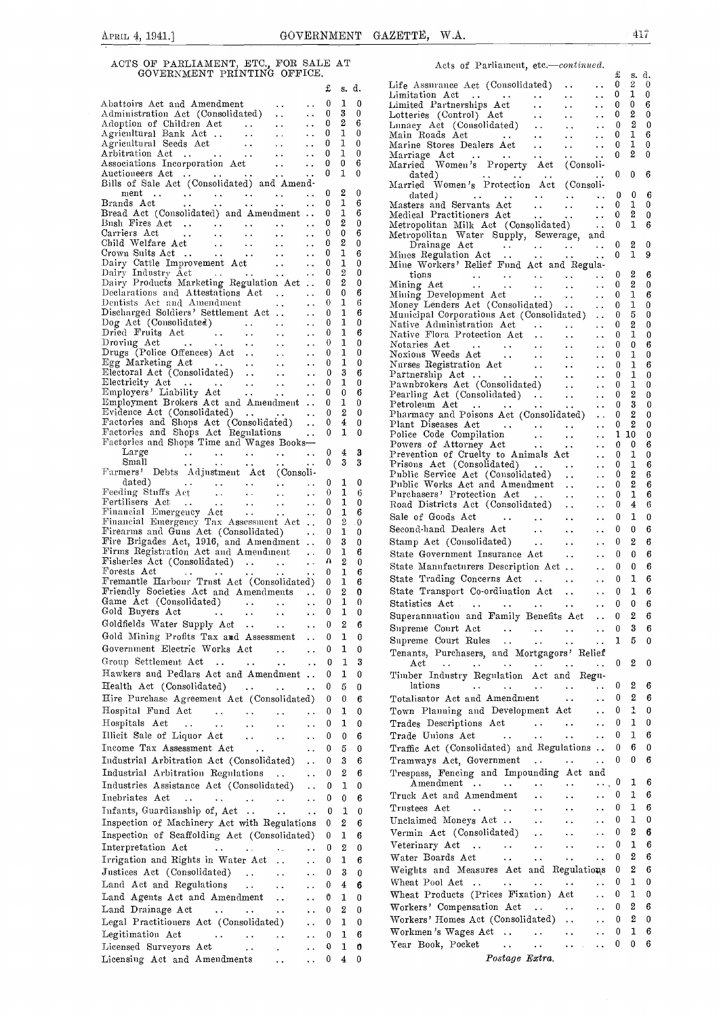|                                                                                                                                                                                                                                                                                                                                                                                                                                                                                |                                                                          |                         |                                              | £        | s.                    | d.        | ы<br>Ы  |
|--------------------------------------------------------------------------------------------------------------------------------------------------------------------------------------------------------------------------------------------------------------------------------------------------------------------------------------------------------------------------------------------------------------------------------------------------------------------------------|--------------------------------------------------------------------------|-------------------------|----------------------------------------------|----------|-----------------------|-----------|---------|
| Abattoirs Act and Amendment<br>Abatton's Act and Amendment<br>Administration Act (Consolidated)                                                                                                                                                                                                                                                                                                                                                                                |                                                                          | . .                     | $\ddot{\phantom{0}}$                         | 0        | 1                     | 0         | L.      |
|                                                                                                                                                                                                                                                                                                                                                                                                                                                                                |                                                                          |                         | $\ddotsc$<br>$\ddot{\phantom{0}}$            | 0<br>0   | 3<br>2                | 0<br>6    | L۱<br>Ы |
|                                                                                                                                                                                                                                                                                                                                                                                                                                                                                |                                                                          |                         | ٠.                                           | 0        | 1                     | 0         | Μ       |
|                                                                                                                                                                                                                                                                                                                                                                                                                                                                                |                                                                          |                         | $\ddot{\phantom{0}}$                         | 0        | 1                     | 0         | М       |
|                                                                                                                                                                                                                                                                                                                                                                                                                                                                                |                                                                          | $\sim$ $\sim$           | . .                                          | 0<br>0   | 1<br>0                | 0<br>6    | М<br>м  |
| Associations Incorporation Act<br>Auctioneers Act<br>Bills of Sale Act (Consolidated) and Amend-                                                                                                                                                                                                                                                                                                                                                                               |                                                                          |                         |                                              | 0        | 1                     | 0         |         |
|                                                                                                                                                                                                                                                                                                                                                                                                                                                                                |                                                                          |                         |                                              |          |                       |           | м       |
| nent<br>$\begin{array}{ccccccccc}\n\cdots & \cdots & \cdots & \cdots & \cdots \\ \vdots & \vdots & \vdots & \vdots & \vdots & \vdots\n\end{array}$<br>Brands Act                                                                                                                                                                                                                                                                                                               |                                                                          | $\sim$ $\sim$           | $\ddotsc$<br>$\ddotsc$                       | 0<br>0   | 2<br>1                | 0<br>6    | M       |
| Bread Act (Consolidated) and Amendment                                                                                                                                                                                                                                                                                                                                                                                                                                         |                                                                          |                         |                                              | 0        | 1                     | 6         | Μ       |
| Bush Fires Act<br>Carriers Act<br>Child Welfare Act                                                                                                                                                                                                                                                                                                                                                                                                                            |                                                                          |                         | $\ddotsc$                                    | 0        | 2                     | 0         | м       |
|                                                                                                                                                                                                                                                                                                                                                                                                                                                                                |                                                                          |                         | $\ddotsc$<br>$\ddot{\phantom{0}}$            | 0<br>0   | 0<br>2                | 6<br>0    | Μ       |
| $\begin{aligned} \frac{1}{2} \left( \frac{1}{2} \frac{1}{2} \frac{1}{2} \right) & = \frac{1}{2} \left( \frac{1}{2} \frac{1}{2} \right) \\ & = \frac{1}{2} \left( \frac{1}{2} \frac{1}{2} \right) & = \frac{1}{2} \left( \frac{1}{2} \right) \\ & = \frac{1}{2} \left( \frac{1}{2} \right) & = \frac{1}{2} \left( \frac{1}{2} \right) \\ & = \frac{1}{2} \left( \frac{1}{2} \right) & = \frac{1}{2} \left( \frac{1}{2} \right) \\ & = \frac{1}{2}$<br>Crown Suits Act           |                                                                          | $\sim 100$ km s $^{-1}$ | $\ddotsc$                                    | 0        | 1                     | 6         | М       |
|                                                                                                                                                                                                                                                                                                                                                                                                                                                                                |                                                                          |                         |                                              | 0        | 1                     | 0         | Μ       |
|                                                                                                                                                                                                                                                                                                                                                                                                                                                                                |                                                                          |                         |                                              | 0<br>0   | $\boldsymbol{2}$<br>2 | 0<br>0    | Μ       |
| Declarations and Attestations Act<br>Dentists Act and Amendment                                                                                                                                                                                                                                                                                                                                                                                                                |                                                                          |                         |                                              | 0        | 0                     | 6         | М       |
|                                                                                                                                                                                                                                                                                                                                                                                                                                                                                |                                                                          |                         |                                              | 0        | 1                     | 6         | Μ       |
| Discharged Soldiers' Settlement Act<br>Dog Act (Consolidated)<br>$\cdots$ $\cdots$<br>$\cdots$<br>$\cdots$<br>$\cdots$<br>$\cdots$<br>$\cdots$<br>$\cdots$                                                                                                                                                                                                                                                                                                                     |                                                                          |                         | $\ddot{\phantom{0}}$                         | 0<br>0   | 1<br>1                | 6<br>0    | М       |
| Dried Fruits Act                                                                                                                                                                                                                                                                                                                                                                                                                                                               |                                                                          |                         | $\ddot{\phantom{0}}$<br>$\ddot{\phantom{0}}$ | 0        | 1                     | 6         | Ν<br>Ν  |
|                                                                                                                                                                                                                                                                                                                                                                                                                                                                                |                                                                          |                         |                                              | 0        | 1                     | 0         | Ν       |
|                                                                                                                                                                                                                                                                                                                                                                                                                                                                                |                                                                          |                         |                                              | 0        | 1<br>1                | 0         | N       |
|                                                                                                                                                                                                                                                                                                                                                                                                                                                                                |                                                                          |                         |                                              | 0<br>0   | 3                     | 0<br>6    | Ν<br>Ρ  |
|                                                                                                                                                                                                                                                                                                                                                                                                                                                                                |                                                                          |                         |                                              | 0        | 1                     | 0         | Ρ       |
| Droving Act<br>Droving Act<br>Droving Act<br>Droving Act<br>Droving Act<br>Egg Marketing Act<br>Electoral Act (Consolidated)<br>Electricity Act<br>Electricity Act<br>Employers' Liability Act<br>Employers' Liability Act<br>Employers' Liability A                                                                                                                                                                                                                           |                                                                          |                         |                                              | 0        | 0                     | 6         | Ρ       |
| Evidence Act (Consolidated)                                                                                                                                                                                                                                                                                                                                                                                                                                                    |                                                                          |                         |                                              | 0<br>0   | 1<br>2                | 0<br>0    | Ρ<br>Ρ  |
| Factories and Shops Act (Consolidated)                                                                                                                                                                                                                                                                                                                                                                                                                                         |                                                                          |                         | $\ddotsc$<br>$\ddotsc$                       | 0        | 4                     | 0         | Ρ       |
| Factories and Shops Act Regulations                                                                                                                                                                                                                                                                                                                                                                                                                                            |                                                                          |                         | $\ddotsc$                                    | 0        | 1                     | 0         | Ρ       |
| Factories and Shops Time and Wages Books-                                                                                                                                                                                                                                                                                                                                                                                                                                      |                                                                          |                         |                                              | 0        | $\overline{4}$        |           | Ρ       |
| Large<br>Small<br>Farmers' Debts Adjustment Act (Consoli-                                                                                                                                                                                                                                                                                                                                                                                                                      |                                                                          |                         |                                              | 0        | 3                     | 3<br>3    | Ρ<br>Ρ  |
|                                                                                                                                                                                                                                                                                                                                                                                                                                                                                |                                                                          |                         |                                              |          |                       |           | Ρ       |
| dated)<br>Feeding Stnffs Act<br>Friendsel Fraction<br>Financial Fraction                                                                                                                                                                                                                                                                                                                                                                                                       |                                                                          | $\langle\cdots\rangle$  | $\ddot{\phantom{0}}$                         | 0        | 1                     | 0         | Ρ       |
|                                                                                                                                                                                                                                                                                                                                                                                                                                                                                |                                                                          | $\sim 100$ km s $^{-1}$ | $\ddotsc$                                    | 0<br>0   | 1<br>1                | 6<br>0    | Ρ       |
| Fertilisers Act<br>Financial Emergency Act<br>Financial Emergency Tax Assessment Act                                                                                                                                                                                                                                                                                                                                                                                           |                                                                          |                         |                                              | 0        | 1                     | 6         | R<br>S: |
|                                                                                                                                                                                                                                                                                                                                                                                                                                                                                |                                                                          |                         |                                              | 0        | 2                     | $\cdot 0$ | S١      |
| Firearms and Guns Act (Consolidated)<br>Fire Brigades Act, 1916, and Amendment                                                                                                                                                                                                                                                                                                                                                                                                 |                                                                          |                         | $\ddotsc$                                    | 0<br>0   | 1<br>3                | 0<br>0    | S.      |
| Firms Registration Act and Amendment                                                                                                                                                                                                                                                                                                                                                                                                                                           |                                                                          |                         |                                              | 0        | 1                     | 6         | S.      |
| Fisheries $\operatorname{Act}$ (Consolidated)                                                                                                                                                                                                                                                                                                                                                                                                                                  |                                                                          |                         | $\sim$ $\sim$                                | Ω        | 2                     | 0         | S.      |
| Forests Act<br>$\mathbf{1}$ , $\mathbf{1}$ , $\mathbf{1}$<br>$\sim$ $\sim$<br>Fremantle Harbour Trnst Act (Consolidated)                                                                                                                                                                                                                                                                                                                                                       | $\bullet$ $\bullet$                                                      | $\sim$ $\sim$           | $\bullet$ $\bullet$                          | 0        | 1                     | 6         | S.      |
| Friendly Societies Act and Amendments                                                                                                                                                                                                                                                                                                                                                                                                                                          |                                                                          |                         |                                              | 0<br>0   | 1<br>2                | 6<br>0    | S.      |
| Game Act (Consolidated)                                                                                                                                                                                                                                                                                                                                                                                                                                                        |                                                                          | $\sim$ $\sim$ $\sim$    | $\ddotsc$                                    | 0        | 1                     | 0         | S.      |
| Gold Buyers Act<br>$\mathcal{L}(\mathcal{L}(\mathcal{L}(\mathcal{L}(\mathcal{L}(\mathcal{L}(\mathcal{L}(\mathcal{L}(\mathcal{L}(\mathcal{L}(\mathcal{L}(\mathcal{L}(\mathcal{L}(\mathcal{L}(\mathcal{L}(\mathcal{L}(\mathcal{L}(\mathcal{L}(\mathcal{L}(\mathcal{L}(\mathcal{L}(\mathcal{L}(\mathcal{L}(\mathcal{L}(\mathcal{L}(\mathcal{L}(\mathcal{L}(\mathcal{L}(\mathcal{L}(\mathcal{L}(\mathcal{L}(\mathcal{L}(\mathcal{L}(\mathcal{L}(\mathcal{L}(\mathcal{L}(\mathcal{$ |                                                                          |                         | $\ddotsc$                                    | 0        | 1                     | 0         | S.      |
| Goldfields Water Supply Act                                                                                                                                                                                                                                                                                                                                                                                                                                                    |                                                                          |                         | $\sim$ $\sim$                                | $\bf{0}$ | $\overline{2}$        | 6         | S.      |
| Gold Mining Profits Tax and Assessment                                                                                                                                                                                                                                                                                                                                                                                                                                         |                                                                          |                         | $\ddot{\phantom{0}}$                         | 0        | 1                     | 0         | S.      |
| Government Electric Works Act                                                                                                                                                                                                                                                                                                                                                                                                                                                  |                                                                          | . .                     |                                              | 0        | 1                     | 0         | Т       |
| Group Settlement Act<br>$\sim$ .                                                                                                                                                                                                                                                                                                                                                                                                                                               |                                                                          |                         | . .                                          | 0        | 1                     | 3         |         |
| Hawkers and Pedlars Act and Amendment                                                                                                                                                                                                                                                                                                                                                                                                                                          |                                                                          |                         |                                              | 0        | 1                     | 0         | т       |
| Health Act (Consolidated)                                                                                                                                                                                                                                                                                                                                                                                                                                                      | $\mathbf{v}$ , $\mathbf{v}$ , $\mathbf{v}$ , $\mathbf{v}$ , $\mathbf{v}$ |                         | $\ddot{\phantom{0}}$                         | 0        | 5                     | 0         |         |
| Hire Purchase Agreement Act (Consolidated)                                                                                                                                                                                                                                                                                                                                                                                                                                     |                                                                          |                         |                                              | 0        | 0                     | 6         | Т       |
| Hospital Fund Act<br>$\ddots$<br>Hospitals Act                                                                                                                                                                                                                                                                                                                                                                                                                                 | $\ddot{\phantom{1}}$                                                     |                         |                                              | 0<br>0   | 1<br>1                | 0<br>0    | т<br>Т  |
| $\ldots$<br>$\ddotsc$<br>Illicit Sale of Liquor Act                                                                                                                                                                                                                                                                                                                                                                                                                            | $\ddot{\phantom{0}}$                                                     | . .                     | . .                                          | 0        | 0                     | 6         | Т       |
| Income Tax Assessment Act                                                                                                                                                                                                                                                                                                                                                                                                                                                      | $\ddot{\phantom{0}}$                                                     | $\ddot{\phantom{1}}$    | $\ddot{\phantom{0}}$                         | 0        | 5                     | 0         | Т       |
| Industrial Arbitration Act (Consolidated)                                                                                                                                                                                                                                                                                                                                                                                                                                      |                                                                          |                         | . .                                          | 0        | 3                     | 6         | Т       |
| Industrial Arbitration Regulations                                                                                                                                                                                                                                                                                                                                                                                                                                             |                                                                          |                         | $\ddotsc$                                    | 0        | 2                     | 6         | т       |
| Industries Assistance Act (Consolidated)                                                                                                                                                                                                                                                                                                                                                                                                                                       |                                                                          | $\ddotsc$               | . .<br>$\ddot{\phantom{0}}$                  | 0        | 1                     | 0         |         |
| Inebriates Act<br>$\ddotsc$                                                                                                                                                                                                                                                                                                                                                                                                                                                    |                                                                          | . .                     | $\ddotsc$                                    | 0        | 0                     | 6         | Т       |
| Infants, Guardianship of, Act                                                                                                                                                                                                                                                                                                                                                                                                                                                  | $\ddotsc$                                                                | $\ddotsc$               | $\ddotsc$                                    | 0        | $\mathbf 1$           | 0         | т       |
| Inspection of Machinery Act with Regulations                                                                                                                                                                                                                                                                                                                                                                                                                                   |                                                                          |                         |                                              | 0        | 2                     | 6         | U       |
| Inspection of Scaffolding Act (Consolidated)                                                                                                                                                                                                                                                                                                                                                                                                                                   |                                                                          |                         |                                              | 0        | 1                     | 6         | V       |
| Interpretation Act<br>$\bullet$ $\bullet$ $\cdots$                                                                                                                                                                                                                                                                                                                                                                                                                             | $\ddotsc$                                                                | $\ddot{\phantom{a}}$ .  | . .                                          | 0        | 2                     | 0         | V       |
| Irrigation and Rights in Water Act                                                                                                                                                                                                                                                                                                                                                                                                                                             |                                                                          | $\ddot{\phantom{0}}$    | $\ddot{\phantom{0}}$                         | 0        | 1                     | 6         | Ν       |
| Justices Act (Consolidated)                                                                                                                                                                                                                                                                                                                                                                                                                                                    | $\cdots$                                                                 | $\ddot{\phantom{1}}$    | $\ddotsc$                                    | 0        | 3                     | 0         | Ν       |
| Land Act and Regulations                                                                                                                                                                                                                                                                                                                                                                                                                                                       | $\ddot{\phantom{1}}$                                                     | . .                     | $\ddot{\phantom{0}}$                         | 0        | 4                     | 6         | W       |
| Land Agents Act and Amendment                                                                                                                                                                                                                                                                                                                                                                                                                                                  |                                                                          | $\ddot{\phantom{0}}$    | $\ddot{\phantom{0}}$                         | 0        | 1                     | 0         | Μ       |
| Land Drainage Act<br>$\sim 100$ km s $^{-1}$<br>$\sim$ $ \sim$ $\sim$                                                                                                                                                                                                                                                                                                                                                                                                          |                                                                          | $\ddot{\phantom{1}}$    | . .                                          | 0        | 2                     | 0         | W       |
| Legal Practitioners Act (Consolidated)                                                                                                                                                                                                                                                                                                                                                                                                                                         |                                                                          |                         | . .                                          | 0        | 1                     | 0         | W       |
| Legitimation Act<br>$\ddotsc$                                                                                                                                                                                                                                                                                                                                                                                                                                                  | $\ddot{\phantom{0}}$                                                     | $\ddot{\phantom{1}}$    | . .                                          | 0        | 1                     | 6         | Μ       |
| Licensed Surveyors Act                                                                                                                                                                                                                                                                                                                                                                                                                                                         |                                                                          | ÷.                      |                                              | 0        | 1                     | 0         | Υ       |
| Licensing Act and Amendments                                                                                                                                                                                                                                                                                                                                                                                                                                                   |                                                                          | $\ddot{\phantom{a}}$ .  | . .                                          | 0        | 4                     | 0         |         |

# Acts of Parliament, etc.-continued.<br>  $\begin{array}{c} \text{f. s. d.} \end{array}$

|            |                     |                | £<br>s. d.                                                                                                                                                                                                                  |
|------------|---------------------|----------------|-----------------------------------------------------------------------------------------------------------------------------------------------------------------------------------------------------------------------------|
| £          | s. d.               |                | Life Assurance Act (Consolidated)<br>0<br>$\boldsymbol{2}$<br>0<br>$\bullet$ $\bullet$ $\bullet$ $\bullet$ $\bullet$                                                                                                        |
| 0          | 1                   | $\bf{0}$       | 1<br>0<br>$\mathbf{0}$<br>$\sim 10^{-11}$<br>0<br>6<br>$\mathbf{0}$                                                                                                                                                         |
| 0          | 3                   | 0              | 2<br>0<br>$\mathbf{0}$<br>$\sim 10^{-1}$                                                                                                                                                                                    |
| 0          | 2                   | 6              | - 2<br>$\bf{0}$<br>0<br>$\sim 100$ km s $^{-1}$                                                                                                                                                                             |
| 0          | 1                   | 0              | 1<br>6<br>$\mathbf{0}$                                                                                                                                                                                                      |
| 0          | 1                   | 0              | 1<br>$\mathbf{0}$<br>0                                                                                                                                                                                                      |
| 0<br>0     | 1<br>0              | 0<br>6         | $\mathbf{2}$<br>0<br>0                                                                                                                                                                                                      |
| 0          | 1                   | 0              | 0<br>0<br>6                                                                                                                                                                                                                 |
|            |                     |                | Married Women's Protection Act (Consoli-                                                                                                                                                                                    |
| 0          | 2                   | 0              | 0<br>6<br>0<br>$\sim 100$ km $^{-1}$ km $^{-1}$                                                                                                                                                                             |
| 0          | 1                   | 6              | dated)<br>Masters and Servants Act<br>Medical Practitioners Act<br><br>1<br>$\mathbf{0}$<br>0<br>$\sim 100$ km s $^{-1}$                                                                                                    |
| 0          | 1<br>2              | 6              | 2<br>$\mathbf{0}$<br>0<br>$\sim 100$ km s $^{-1}$                                                                                                                                                                           |
| 0<br>0     | 0                   | 0<br>6         | Metropolitan Milk Act (Consolidated)  0<br>1<br>6                                                                                                                                                                           |
| 0          | 2                   | 0              | Metropolitan Water Supply, Sewerage, and<br>2<br>0                                                                                                                                                                          |
| 0          | 1                   | 6              | Drainage Act    0<br>Mines Regulation Act    0<br>1<br>9                                                                                                                                                                    |
| 0          | 1                   | 0              | Mine Workers' Relief Fund Act and Regula-                                                                                                                                                                                   |
| 0          | $\boldsymbol{2}$    | 0              | 2<br>6                                                                                                                                                                                                                      |
| 0          | 2                   | 0              | 2<br>0                                                                                                                                                                                                                      |
| 0<br>0     | 0<br>1              | 6<br>6         | 1<br>6                                                                                                                                                                                                                      |
| 0          | 1                   | 6              | ı<br>0<br>5<br>0                                                                                                                                                                                                            |
| 0          | 1                   | 0              | Money Lenders Act (Consolidated)   0<br>Money Lenders Act (Consolidated)  0<br>Municipal Corporations Act (Consolidated)  0<br>Native Administration Act   0<br>Native Flora Protection Act   0<br>Notaries Act .<br>2<br>0 |
| 0          | 1                   | 6              | 1<br>0                                                                                                                                                                                                                      |
| 0          | 1                   | 0              | $\bf{0}$<br>6                                                                                                                                                                                                               |
| 0          | 1                   | 0              | 0<br>1                                                                                                                                                                                                                      |
| 0          | 1                   | 0              | 6<br>1                                                                                                                                                                                                                      |
| 0<br>0     | 3<br>1              | 6<br>0         | $\mathbf{1}$<br>0                                                                                                                                                                                                           |
| 0          | 0                   | 6              | 1<br>0<br>2<br>0                                                                                                                                                                                                            |
| 0          | 1                   | 0              | 3<br>0                                                                                                                                                                                                                      |
| 0          | $\boldsymbol{2}$    | 0              | 2<br>0                                                                                                                                                                                                                      |
| 0          | 4                   | 0              | 0                                                                                                                                                                                                                           |
| 0          | 1                   | 0              | 0                                                                                                                                                                                                                           |
| 0          | 4                   | 3              | 6                                                                                                                                                                                                                           |
| 0          | 3                   | 3              | 0<br>6                                                                                                                                                                                                                      |
|            |                     |                | 6                                                                                                                                                                                                                           |
| 0          | 1                   | 0              | Public Works Act and Amendment   0<br>2<br>6                                                                                                                                                                                |
| 0          | 1                   | 6              | $\cdots$ 0<br>1<br>6                                                                                                                                                                                                        |
| 0          | 1                   | 0              | Purchasers' Protection Act<br>Road Districts Act (Consolidated)<br>6<br>4<br>$\bf{0}$<br>$\sim 100$ km s $^{-1}$                                                                                                            |
| 0          | 1                   | 6              | Sale of Goods Act<br>0<br>0<br>1<br>$\bullet$ $\bullet$ $\cdots$                                                                                                                                                            |
| 0<br>0     | 2<br>1              | $\cdot 0$<br>0 | Second-hand Dealers Act<br>6<br>0<br>0<br>$\sim$ $\sim$                                                                                                                                                                     |
| 0          | 3                   | 0              | 0<br>2<br>6<br>$\sim 10^{-1}$                                                                                                                                                                                               |
| 0          | 1                   | 6              | Stamp Act (Consolidated)<br>State Government Insurance Act<br>6<br>0<br>0<br>$\sim 10^{-11}$                                                                                                                                |
| Ω          | -2                  | 0              | State Manufacturers Description Act<br>6<br>$\ddots$ 0<br>0                                                                                                                                                                 |
| 0          | 1                   | 6              | State Trading Concerns Act<br>6<br>$\mathbf{1}$                                                                                                                                                                             |
| 0          | $\mathbf{1}$        | 6              | $\cdots$ 0                                                                                                                                                                                                                  |
| 0<br>0     | $\overline{2}$<br>1 | $\bf{0}$       | State Transport Co-ordination Act  0<br>1<br>6                                                                                                                                                                              |
| $0\quad 1$ |                     | $\Omega$<br>0  | 0<br>0<br>6<br>$\sim 10^{-10}$                                                                                                                                                                                              |
| 0          | 2                   | 6              | Superannuation and Family Benefits Act<br>0<br>2<br>6                                                                                                                                                                       |
|            |                     |                | 3<br>Supreme Court Act<br>6<br>0<br>$\ddotsc$<br>$\ddot{\phantom{0}}$<br>. .                                                                                                                                                |
| 0          | 1                   | 0              | Supreme Court Rules<br>1<br>5<br>0<br>$\ddotsc$<br>$\ddot{\phantom{0}}$<br>. .                                                                                                                                              |
| 0          | 1                   | 0              | Tenants, Purchasers, and Mortgagors' Relief                                                                                                                                                                                 |
| 0          | 1                   | 3              | 2<br>0<br>$_{\rm Act}$<br>$\mathcal{A}(\mathbf{r})$ and $\mathcal{A}(\mathbf{r})$ and $\mathcal{A}(\mathbf{r})$ and $\mathcal{A}(\mathbf{r})$<br>0<br>$\ddot{\phantom{0}}$                                                  |
| 0          | 1                   | 0              | Timber Industry Regulation Act and Regu-                                                                                                                                                                                    |
| 0          | 5                   | 0              | 2<br>lations<br>6<br>0<br>$\sim$ 10 $\sim$<br>$\sim$ 10 $\sim$<br>$\ddotsc$<br>$\ddot{\phantom{0}}$<br>. .                                                                                                                  |
| 0          | 0                   | 6              | 2<br>6<br>Totalisator Act and Amendment<br>0<br>$\ddot{\phantom{0}}$<br>$\ddot{\phantom{0}}$                                                                                                                                |
| 0          | 1                   | 0              | 1<br>0<br>0<br>Town Plauning and Development Act<br>$\ddotsc$                                                                                                                                                               |
| 0          | 1                   | 0              | 1<br>0<br>Trades Descriptions Act<br>0<br>$\ddot{\phantom{0}}$<br>$\ddot{\phantom{0}}$<br>. .                                                                                                                               |
| 0          | 0                   | 6              | $\sim 100$<br>0<br>1<br>6<br>Trade Unions Act<br>$\ddot{\phantom{a}}$<br>$\ddot{\phantom{0}}$<br>$\ddot{\phantom{0}}$                                                                                                       |
| 0          | 5                   | 0              | 0<br>Traffic Act (Consolidated) and Regulations<br>6<br>0                                                                                                                                                                   |
| 0          | 3                   | 6              | Tramways Act, Government<br>0<br>0<br>6<br>$\ddot{\phantom{1}}$<br>. .<br>$\ddot{\phantom{0}}$                                                                                                                              |
| 0          | 2                   | 6              | Trespass, Fencing and Impounding Act and                                                                                                                                                                                    |
| 0          | 1                   | 0              | 0<br>6<br>$A$ mendment<br>ı<br>$\sim$ $\sim$<br>$\sim 100$ km s $^{-1}$<br>$\sim 10^{-1}$ .<br>$\ddot{\phantom{0}}$<br>$\ddotsc$                                                                                            |
|            |                     |                | 6<br>1<br>Truck Act and Amendment<br>0<br>$\ddot{\phantom{0}}$<br>$\ddot{\phantom{0}}$<br>. .                                                                                                                               |
| 0          | 0                   | 6              | 1<br>6<br>0<br>Trustees Act<br>$\ddotsc$                                                                                                                                                                                    |
| 0          | 1                   | 0              | . .<br>0<br>1<br>0                                                                                                                                                                                                          |
| 0          | 2                   | 6              | Unclaimed Moneys Act<br>$\ddotsc$<br>. .<br>. .<br>2                                                                                                                                                                        |
| 0          | 1                   | 6              | 6<br>Vermin Act (Consolidated)<br>0<br>$\ddotsc$<br>$\ddot{\phantom{0}}$<br>. .                                                                                                                                             |
| 0          | 2                   | 0              | 6<br>0<br>1<br>Veterinary Act<br>$\sim$ $\sim$ $\sim$ $\sim$<br>$\ddotsc$<br>$\ddotsc$<br>. .<br>$\ddot{\phantom{0}}$                                                                                                       |
| 0          | 1                   | 6              | 2<br>6<br>Water Boards Act<br>0<br>$\ddotsc$<br>$\ddot{\phantom{0}}$<br>$\ddot{\phantom{0}}$<br>. .                                                                                                                         |
| 0          | 3                   | 0              | 2<br>6<br>Weights and Measures Act and Regulations<br>0                                                                                                                                                                     |
| 0          | 4                   | 6              | 1<br>0<br>Wheat Pool Act<br>0<br>$\Delta$ - $\Delta$ - $\Delta$ - $\Delta$<br>$\ddotsc$<br>$\ddot{\phantom{0}}$<br>$\ddot{\phantom{a}}$                                                                                     |
| 0          | 1                   | 0              | Wheat Products (Prices Fixation) Act<br>0<br>0<br>1<br>. .                                                                                                                                                                  |
| 0          | 2                   | 0              | Workers' Compensation Act<br>2<br>6<br>0<br>$\sim 10^{-10}$ km s $^{-1}$<br>$\ddot{\phantom{a}}$ .<br>$\ddot{\phantom{0}}$                                                                                                  |
| 0          | 1                   | 0              | Workers' Homes Act (Consolidated)<br>2<br>0<br>0<br>$\ddot{\phantom{0}}$<br>$\ddot{\phantom{0}}$                                                                                                                            |
|            | 1                   | 6              | 1<br>6<br>Workmen's Wages Act<br>0<br>$\ddotsc$<br>. .<br>. .                                                                                                                                                               |
| 0          |                     |                | 6<br>Year Book, Pocket<br>0<br>0<br>$\sim 10^{-11}$<br>$\ddot{\phantom{1}}$<br>$\ddot{\phantom{0}}$<br>$\ddotsc$<br>$\sim$                                                                                                  |
| 0          | 1                   | 0              |                                                                                                                                                                                                                             |
| 0          | 4                   | 0              | Postage Extra.                                                                                                                                                                                                              |